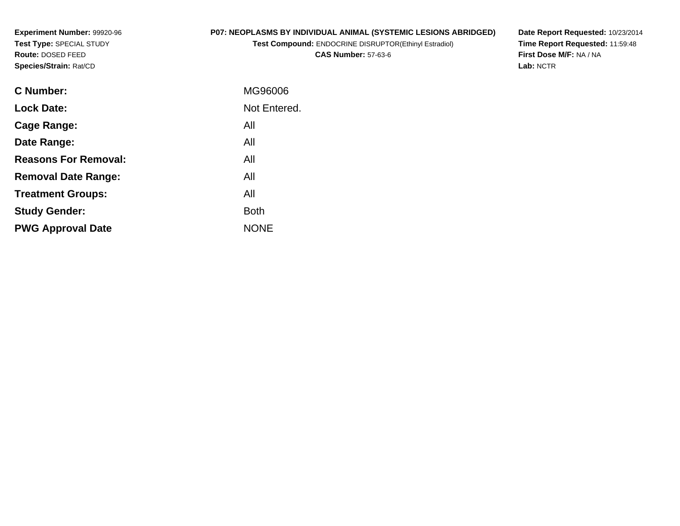**Experiment Number:** 99920-96**Test Type:** SPECIAL STUDY**Route:** DOSED FEED**Species/Strain:** Rat/CD

# **P07: NEOPLASMS BY INDIVIDUAL ANIMAL (SYSTEMIC LESIONS ABRIDGED)**

**Test Compound:** ENDOCRINE DISRUPTOR(Ethinyl Estradiol)

**CAS Number:** 57-63-6

**Date Report Requested:** 10/23/2014 **Time Report Requested:** 11:59:48**First Dose M/F:** NA / NA**Lab:** NCTR

| <b>C</b> Number:            | MG96006      |
|-----------------------------|--------------|
| <b>Lock Date:</b>           | Not Entered. |
| Cage Range:                 | All          |
| Date Range:                 | All          |
| <b>Reasons For Removal:</b> | All          |
| <b>Removal Date Range:</b>  | All          |
| <b>Treatment Groups:</b>    | All          |
| <b>Study Gender:</b>        | <b>Both</b>  |
| <b>PWG Approval Date</b>    | <b>NONE</b>  |
|                             |              |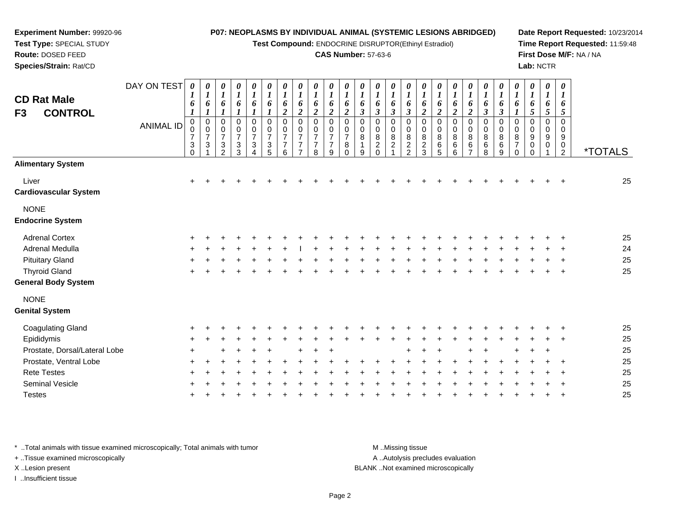**Test Compound:** ENDOCRINE DISRUPTOR(Ethinyl Estradiol)

#### **CAS Number:** 57-63-6

**Date Report Requested:** 10/23/2014**Time Report Requested:** 11:59:48**First Dose M/F:** NA / NA**Lab:** NCTR

| <b>CD Rat Male</b><br><b>CONTROL</b><br>F3 | DAY ON TEST<br><b>ANIMAL ID</b> | 0<br>6<br>1<br>0<br>0                                   | 0<br>$\boldsymbol{l}$<br>6<br>$\boldsymbol{l}$<br>$\pmb{0}$<br>$\mathbf 0$ | 0<br>$\boldsymbol{l}$<br>6<br>$\mathbf 0$<br>0               | 0<br>$\boldsymbol{l}$<br>6<br>0<br>0 | 0<br>$\boldsymbol{l}$<br>6<br>0<br>$\mathbf 0$ | 0<br>$\boldsymbol{l}$<br>6<br>$\mathbf 0$<br>$\mathbf 0$ | $\boldsymbol{\theta}$<br>$\boldsymbol{l}$<br>6<br>$\overline{2}$<br>$\mathbf 0$<br>0 | $\boldsymbol{\theta}$<br>$\boldsymbol{l}$<br>6<br>$\overline{2}$<br>$\Omega$<br>0 | 0<br>$\boldsymbol{l}$<br>6<br>$\boldsymbol{2}$<br>$\Omega$<br>0 | 0<br>$\boldsymbol{l}$<br>6<br>$\boldsymbol{2}$<br>$\Omega$<br>0 | 0<br>6<br>$\boldsymbol{2}$<br>$\Omega$<br>0 | 0<br>6<br>$\boldsymbol{\beta}$<br>0<br>0 | 0<br>$\bm{l}$<br>6<br>$\mathbf{3}$<br>$\Omega$<br>0 | 0<br>$\boldsymbol{l}$<br>6<br>$\boldsymbol{\beta}$<br>0<br>0 | 0<br>$\boldsymbol{l}$<br>6<br>$\boldsymbol{\beta}$<br>$\Omega$<br>0 | 0<br>$\boldsymbol{l}$<br>6<br>$\overline{2}$<br>$\Omega$<br>0 | $\boldsymbol{\theta}$<br>$\boldsymbol{l}$<br>6<br>$\overline{2}$<br>0<br>0 | 0<br>$\boldsymbol{l}$<br>6<br>$\boldsymbol{2}$<br>0<br>0 | 0<br>$\boldsymbol{l}$<br>6<br>$\boldsymbol{2}$<br>$\mathbf 0$<br>0 | 0<br>$\boldsymbol{l}$<br>6<br>$\boldsymbol{\beta}$<br>0<br>0 | 0<br>$\boldsymbol{l}$<br>6<br>$\mathfrak{z}$<br>0<br>0 | $\boldsymbol{\theta}$<br>$\boldsymbol{l}$<br>6<br>0<br>0 | $\boldsymbol{\theta}$<br>$\boldsymbol{l}$<br>6<br>$5\overline{)}$<br>$\Omega$<br>$\mathbf 0$ | $\boldsymbol{\theta}$<br>$\boldsymbol{l}$<br>6<br>5<br>$\mathbf 0$<br>0 | $\boldsymbol{\theta}$<br>$\boldsymbol{\mathit{1}}$<br>6<br>$\mathfrak{I}$<br>$\Omega$<br>0 |                       |
|--------------------------------------------|---------------------------------|---------------------------------------------------------|----------------------------------------------------------------------------|--------------------------------------------------------------|--------------------------------------|------------------------------------------------|----------------------------------------------------------|--------------------------------------------------------------------------------------|-----------------------------------------------------------------------------------|-----------------------------------------------------------------|-----------------------------------------------------------------|---------------------------------------------|------------------------------------------|-----------------------------------------------------|--------------------------------------------------------------|---------------------------------------------------------------------|---------------------------------------------------------------|----------------------------------------------------------------------------|----------------------------------------------------------|--------------------------------------------------------------------|--------------------------------------------------------------|--------------------------------------------------------|----------------------------------------------------------|----------------------------------------------------------------------------------------------|-------------------------------------------------------------------------|--------------------------------------------------------------------------------------------|-----------------------|
|                                            |                                 | $\overline{7}$<br>$\ensuremath{\mathsf{3}}$<br>$\Omega$ | $\overline{7}$<br>3                                                        | $\overline{7}$<br>$\ensuremath{\mathsf{3}}$<br>$\mathcal{P}$ | $\overline{7}$<br>3<br>3             | $\overline{7}$<br>$\sqrt{3}$<br>Δ              | $\overline{7}$<br>$\sqrt{3}$<br>5                        | $\overline{7}$<br>$\overline{7}$<br>6                                                | $\overline{7}$<br>7                                                               | $\overline{7}$<br>7<br>8                                        | $\overline{7}$<br>$\overline{7}$<br>9                           | 7<br>8                                      | 8<br>9                                   | 8<br>$\boldsymbol{2}$<br>0                          | 8<br>$\overline{\mathbf{c}}$                                 | 8<br>$\overline{c}$<br>$\mathfrak{p}$                               | 8<br>$\frac{2}{3}$                                            | 8<br>$\,6$<br>5                                                            | 8<br>6<br>6                                              | 8<br>6                                                             | 8<br>$\,6$<br>8                                              | 8<br>$\,6\,$<br>9                                      | 8<br>$\overline{7}$                                      | 9<br>0<br>$\cap$                                                                             | $\boldsymbol{9}$<br>0                                                   | 9<br>0<br>$\overline{2}$                                                                   | <i><b>*TOTALS</b></i> |
| <b>Alimentary System</b>                   |                                 |                                                         |                                                                            |                                                              |                                      |                                                |                                                          |                                                                                      |                                                                                   |                                                                 |                                                                 |                                             |                                          |                                                     |                                                              |                                                                     |                                                               |                                                                            |                                                          |                                                                    |                                                              |                                                        |                                                          |                                                                                              |                                                                         |                                                                                            |                       |
| Liver<br><b>Cardiovascular System</b>      |                                 | $\ddot{}$                                               |                                                                            |                                                              |                                      |                                                |                                                          |                                                                                      |                                                                                   |                                                                 |                                                                 |                                             |                                          |                                                     |                                                              |                                                                     |                                                               |                                                                            |                                                          |                                                                    |                                                              |                                                        |                                                          |                                                                                              |                                                                         |                                                                                            | 25                    |
| <b>NONE</b><br><b>Endocrine System</b>     |                                 |                                                         |                                                                            |                                                              |                                      |                                                |                                                          |                                                                                      |                                                                                   |                                                                 |                                                                 |                                             |                                          |                                                     |                                                              |                                                                     |                                                               |                                                                            |                                                          |                                                                    |                                                              |                                                        |                                                          |                                                                                              |                                                                         |                                                                                            |                       |
| <b>Adrenal Cortex</b>                      |                                 |                                                         |                                                                            |                                                              |                                      |                                                |                                                          |                                                                                      |                                                                                   |                                                                 |                                                                 |                                             |                                          |                                                     |                                                              |                                                                     |                                                               |                                                                            |                                                          |                                                                    |                                                              |                                                        |                                                          |                                                                                              |                                                                         |                                                                                            | 25                    |
| Adrenal Medulla                            |                                 |                                                         |                                                                            |                                                              |                                      |                                                |                                                          |                                                                                      |                                                                                   |                                                                 |                                                                 |                                             |                                          |                                                     |                                                              |                                                                     |                                                               |                                                                            |                                                          |                                                                    |                                                              |                                                        |                                                          |                                                                                              |                                                                         |                                                                                            | 24                    |
| <b>Pituitary Gland</b>                     |                                 |                                                         |                                                                            |                                                              |                                      |                                                |                                                          |                                                                                      |                                                                                   |                                                                 |                                                                 |                                             |                                          |                                                     |                                                              |                                                                     |                                                               |                                                                            |                                                          |                                                                    |                                                              |                                                        |                                                          |                                                                                              |                                                                         |                                                                                            | 25                    |
| <b>Thyroid Gland</b>                       |                                 | $\pm$                                                   |                                                                            |                                                              |                                      |                                                |                                                          |                                                                                      |                                                                                   |                                                                 |                                                                 |                                             |                                          |                                                     |                                                              |                                                                     |                                                               |                                                                            |                                                          |                                                                    |                                                              |                                                        |                                                          |                                                                                              |                                                                         |                                                                                            | 25                    |
| <b>General Body System</b>                 |                                 |                                                         |                                                                            |                                                              |                                      |                                                |                                                          |                                                                                      |                                                                                   |                                                                 |                                                                 |                                             |                                          |                                                     |                                                              |                                                                     |                                                               |                                                                            |                                                          |                                                                    |                                                              |                                                        |                                                          |                                                                                              |                                                                         |                                                                                            |                       |
| <b>NONE</b><br><b>Genital System</b>       |                                 |                                                         |                                                                            |                                                              |                                      |                                                |                                                          |                                                                                      |                                                                                   |                                                                 |                                                                 |                                             |                                          |                                                     |                                                              |                                                                     |                                                               |                                                                            |                                                          |                                                                    |                                                              |                                                        |                                                          |                                                                                              |                                                                         |                                                                                            |                       |
| <b>Coagulating Gland</b>                   |                                 |                                                         |                                                                            |                                                              |                                      |                                                |                                                          |                                                                                      |                                                                                   |                                                                 |                                                                 |                                             |                                          |                                                     |                                                              |                                                                     |                                                               |                                                                            |                                                          |                                                                    |                                                              |                                                        |                                                          |                                                                                              |                                                                         |                                                                                            | 25                    |
| Epididymis                                 |                                 |                                                         |                                                                            |                                                              |                                      |                                                |                                                          |                                                                                      |                                                                                   |                                                                 |                                                                 |                                             |                                          |                                                     |                                                              |                                                                     |                                                               |                                                                            |                                                          |                                                                    |                                                              |                                                        |                                                          |                                                                                              |                                                                         |                                                                                            | 25                    |
| Prostate, Dorsal/Lateral Lobe              |                                 |                                                         |                                                                            |                                                              |                                      |                                                |                                                          |                                                                                      |                                                                                   |                                                                 |                                                                 |                                             |                                          |                                                     |                                                              |                                                                     |                                                               |                                                                            |                                                          |                                                                    |                                                              |                                                        |                                                          |                                                                                              |                                                                         |                                                                                            | 25                    |
| Prostate, Ventral Lobe                     |                                 |                                                         |                                                                            |                                                              |                                      |                                                |                                                          |                                                                                      |                                                                                   |                                                                 |                                                                 |                                             |                                          |                                                     |                                                              |                                                                     |                                                               |                                                                            |                                                          |                                                                    |                                                              |                                                        |                                                          |                                                                                              |                                                                         |                                                                                            | 25                    |
| <b>Rete Testes</b>                         |                                 |                                                         |                                                                            |                                                              |                                      |                                                |                                                          |                                                                                      |                                                                                   |                                                                 |                                                                 |                                             |                                          |                                                     |                                                              |                                                                     |                                                               |                                                                            |                                                          |                                                                    |                                                              |                                                        |                                                          |                                                                                              |                                                                         |                                                                                            | 25                    |
| <b>Seminal Vesicle</b>                     |                                 |                                                         |                                                                            |                                                              |                                      |                                                |                                                          |                                                                                      |                                                                                   |                                                                 |                                                                 |                                             |                                          |                                                     |                                                              |                                                                     |                                                               |                                                                            |                                                          |                                                                    |                                                              |                                                        |                                                          |                                                                                              |                                                                         |                                                                                            | 25                    |
|                                            |                                 |                                                         |                                                                            |                                                              |                                      |                                                |                                                          |                                                                                      |                                                                                   |                                                                 |                                                                 |                                             |                                          |                                                     |                                                              |                                                                     |                                                               |                                                                            |                                                          |                                                                    |                                                              |                                                        |                                                          |                                                                                              |                                                                         |                                                                                            |                       |

\* ..Total animals with tissue examined microscopically; Total animals with tumor **M** ...Missing tissue M ...Missing tissue

<sup>+</sup>

+ ..Tissue examined microscopically

**Experiment Number:** 99920-96**Test Type:** SPECIAL STUDY**Route:** DOSED FEED**Species/Strain:** Rat/CD

**Testes** 

I ..Insufficient tissue

A ..Autolysis precludes evaluation

<sup>+</sup> <sup>+</sup> <sup>+</sup> <sup>+</sup> <sup>+</sup> <sup>+</sup> <sup>+</sup> <sup>+</sup> <sup>+</sup> <sup>+</sup> <sup>+</sup> <sup>+</sup> <sup>+</sup> <sup>+</sup> <sup>+</sup> <sup>+</sup> <sup>+</sup> <sup>+</sup> <sup>+</sup> <sup>+</sup> <sup>+</sup> <sup>+</sup> <sup>+</sup> <sup>+</sup> <sup>25</sup>

X ..Lesion present BLANK ..Not examined microscopically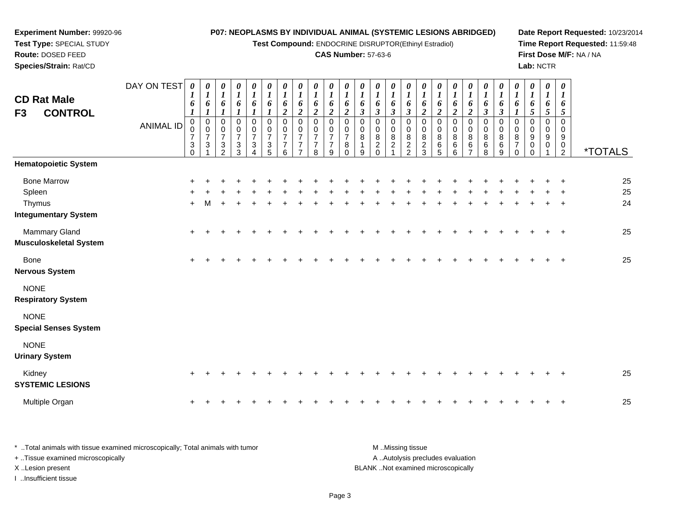#### **Experiment Number:** 99920-96**Test Type:** SPECIAL STUDY**Route:** DOSED FEED**P07: NEOPLASMS BY INDIVIDUAL ANIMAL (SYSTEMIC LESIONS ABRIDGED)Test Compound:** ENDOCRINE DISRUPTOR(Ethinyl Estradiol)**CAS Number:** 57-63-6**Date Report Requested:** 10/23/2014**Time Report Requested:** 11:59:48**First Dose M/F:** NA / NA

**Species/Strain:** Rat/CD

**Lab:** NCTR

| <b>CD Rat Male</b><br><b>CONTROL</b><br>F <sub>3</sub>                | DAY ON TEST<br><b>ANIMAL ID</b> | 0<br>1<br>6<br>1<br>$\pmb{0}$<br>$\frac{0}{7}$<br>3<br>$\Omega$ | 0<br>$\boldsymbol{l}$<br>6<br>$\boldsymbol{l}$<br>$\pmb{0}$<br>$\pmb{0}$<br>$\overline{7}$<br>$\mathbf{3}$ | 0<br>$\boldsymbol{l}$<br>6<br>$\boldsymbol{l}$<br>$\pmb{0}$<br>0<br>$\overline{7}$<br>$\ensuremath{\mathsf{3}}$<br>$\overline{2}$ | $\boldsymbol{\theta}$<br>$\boldsymbol{l}$<br>6<br>$\boldsymbol{l}$<br>$\pmb{0}$<br>$\pmb{0}$<br>$\overline{7}$<br>$\frac{3}{3}$ | 0<br>$\boldsymbol{l}$<br>6<br>1<br>$\pmb{0}$<br>$\mathbf 0$<br>$\overline{7}$<br>3<br>$\Delta$ | 0<br>$\boldsymbol{l}$<br>6<br>$\boldsymbol{l}$<br>0<br>$\pmb{0}$<br>$\overline{7}$<br>$\frac{3}{5}$ | $\boldsymbol{\theta}$<br>$\boldsymbol{l}$<br>6<br>$\boldsymbol{2}$<br>$\pmb{0}$<br>$\pmb{0}$<br>$\overline{7}$<br>$\overline{7}$<br>6 | $\boldsymbol{\theta}$<br>$\boldsymbol{l}$<br>6<br>$\boldsymbol{2}$<br>$\mathbf 0$<br>$\pmb{0}$<br>$\overline{7}$<br>$\overline{7}$<br>$\overline{7}$ | 0<br>$\boldsymbol{l}$<br>6<br>$\boldsymbol{2}$<br>$\mathbf 0$<br>$\mathbf 0$<br>$\overline{7}$<br>7<br>8 | $\boldsymbol{\theta}$<br>$\boldsymbol{l}$<br>6<br>$\overline{2}$<br>$\Omega$<br>$\mathbf 0$<br>$\overline{7}$<br>7<br>9 | $\boldsymbol{\theta}$<br>$\boldsymbol{l}$<br>6<br>$\overline{2}$<br>$\mathbf 0$<br>0<br>$\overline{7}$<br>8<br>$\Omega$ | 0<br>$\boldsymbol{l}$<br>6<br>$\overline{\mathbf{3}}$<br>0<br>$\mathbf 0$<br>8<br>9 | 0<br>$\boldsymbol{l}$<br>6<br>$\mathfrak{z}$<br>0<br>$\pmb{0}$<br>8<br>$\overline{c}$<br>$\Omega$ | 0<br>$\boldsymbol{l}$<br>6<br>$\mathfrak{z}$<br>$\mathbf 0$<br>$\pmb{0}$<br>$\, 8$<br>$\overline{\mathbf{c}}$<br>$\overline{1}$ | 0<br>$\boldsymbol{l}$<br>6<br>$\boldsymbol{\beta}$<br>$\mathbf 0$<br>$\mathsf{O}\xspace$<br>$\bf 8$<br>$\frac{2}{2}$ | 0<br>$\boldsymbol{l}$<br>6<br>$\boldsymbol{2}$<br>$\mathbf 0$<br>$\mathbf 0$<br>$\bf 8$<br>$\frac{2}{3}$ | 0<br>$\boldsymbol{l}$<br>6<br>$\overline{2}$<br>$\mathbf 0$<br>0<br>8<br>6<br>$\overline{5}$ | $\boldsymbol{\theta}$<br>$\boldsymbol{l}$<br>6<br>$\overline{2}$<br>$\pmb{0}$<br>$\pmb{0}$<br>$\bf 8$<br>$^6$ 6 | 0<br>$\boldsymbol{l}$<br>6<br>$\overline{2}$<br>$\pmb{0}$<br>$\mathbf 0$<br>8<br>$\frac{6}{7}$ | 0<br>$\boldsymbol{I}$<br>6<br>$\mathfrak{z}$<br>0<br>$\pmb{0}$<br>8<br>$^6_8$ | $\boldsymbol{\theta}$<br>$\boldsymbol{l}$<br>6<br>$\mathfrak{z}$<br>$\pmb{0}$<br>$\mathbf 0$<br>8<br>$^6_9$ | $\boldsymbol{\theta}$<br>$\boldsymbol{l}$<br>6<br>$\boldsymbol{l}$<br>$\mathbf 0$<br>0<br>$\bf 8$<br>$\overline{7}$<br>$\Omega$ | 0<br>$\boldsymbol{l}$<br>6<br>5<br>0<br>$\mathbf 0$<br>9<br>0<br>$\Omega$ | 0<br>$\boldsymbol{l}$<br>6<br>5<br>0<br>$\mathbf 0$<br>9<br>0 | $\boldsymbol{\theta}$<br>$\boldsymbol{l}$<br>6<br>5<br>$\pmb{0}$<br>$\pmb{0}$<br>$\boldsymbol{9}$<br>$\begin{smallmatrix} 0\\2 \end{smallmatrix}$ | <i><b>*TOTALS</b></i> |
|-----------------------------------------------------------------------|---------------------------------|-----------------------------------------------------------------|------------------------------------------------------------------------------------------------------------|-----------------------------------------------------------------------------------------------------------------------------------|---------------------------------------------------------------------------------------------------------------------------------|------------------------------------------------------------------------------------------------|-----------------------------------------------------------------------------------------------------|---------------------------------------------------------------------------------------------------------------------------------------|------------------------------------------------------------------------------------------------------------------------------------------------------|----------------------------------------------------------------------------------------------------------|-------------------------------------------------------------------------------------------------------------------------|-------------------------------------------------------------------------------------------------------------------------|-------------------------------------------------------------------------------------|---------------------------------------------------------------------------------------------------|---------------------------------------------------------------------------------------------------------------------------------|----------------------------------------------------------------------------------------------------------------------|----------------------------------------------------------------------------------------------------------|----------------------------------------------------------------------------------------------|-----------------------------------------------------------------------------------------------------------------|------------------------------------------------------------------------------------------------|-------------------------------------------------------------------------------|-------------------------------------------------------------------------------------------------------------|---------------------------------------------------------------------------------------------------------------------------------|---------------------------------------------------------------------------|---------------------------------------------------------------|---------------------------------------------------------------------------------------------------------------------------------------------------|-----------------------|
| <b>Hematopoietic System</b>                                           |                                 |                                                                 |                                                                                                            |                                                                                                                                   |                                                                                                                                 |                                                                                                |                                                                                                     |                                                                                                                                       |                                                                                                                                                      |                                                                                                          |                                                                                                                         |                                                                                                                         |                                                                                     |                                                                                                   |                                                                                                                                 |                                                                                                                      |                                                                                                          |                                                                                              |                                                                                                                 |                                                                                                |                                                                               |                                                                                                             |                                                                                                                                 |                                                                           |                                                               |                                                                                                                                                   |                       |
| <b>Bone Marrow</b><br>Spleen<br>Thymus<br><b>Integumentary System</b> |                                 | $+$                                                             |                                                                                                            |                                                                                                                                   |                                                                                                                                 |                                                                                                |                                                                                                     |                                                                                                                                       |                                                                                                                                                      |                                                                                                          |                                                                                                                         |                                                                                                                         |                                                                                     |                                                                                                   |                                                                                                                                 |                                                                                                                      |                                                                                                          |                                                                                              |                                                                                                                 |                                                                                                |                                                                               |                                                                                                             |                                                                                                                                 |                                                                           |                                                               |                                                                                                                                                   | 25<br>25<br>24        |
| Mammary Gland<br><b>Musculoskeletal System</b>                        |                                 | $+$                                                             |                                                                                                            |                                                                                                                                   |                                                                                                                                 |                                                                                                |                                                                                                     |                                                                                                                                       |                                                                                                                                                      |                                                                                                          |                                                                                                                         |                                                                                                                         |                                                                                     |                                                                                                   |                                                                                                                                 |                                                                                                                      |                                                                                                          |                                                                                              |                                                                                                                 |                                                                                                |                                                                               |                                                                                                             |                                                                                                                                 |                                                                           |                                                               | $\overline{1}$                                                                                                                                    | 25                    |
| <b>Bone</b><br><b>Nervous System</b>                                  |                                 |                                                                 |                                                                                                            |                                                                                                                                   |                                                                                                                                 |                                                                                                |                                                                                                     |                                                                                                                                       |                                                                                                                                                      |                                                                                                          |                                                                                                                         |                                                                                                                         |                                                                                     |                                                                                                   |                                                                                                                                 |                                                                                                                      |                                                                                                          |                                                                                              |                                                                                                                 |                                                                                                |                                                                               |                                                                                                             |                                                                                                                                 |                                                                           |                                                               |                                                                                                                                                   | 25                    |
| <b>NONE</b><br><b>Respiratory System</b>                              |                                 |                                                                 |                                                                                                            |                                                                                                                                   |                                                                                                                                 |                                                                                                |                                                                                                     |                                                                                                                                       |                                                                                                                                                      |                                                                                                          |                                                                                                                         |                                                                                                                         |                                                                                     |                                                                                                   |                                                                                                                                 |                                                                                                                      |                                                                                                          |                                                                                              |                                                                                                                 |                                                                                                |                                                                               |                                                                                                             |                                                                                                                                 |                                                                           |                                                               |                                                                                                                                                   |                       |
| <b>NONE</b><br><b>Special Senses System</b>                           |                                 |                                                                 |                                                                                                            |                                                                                                                                   |                                                                                                                                 |                                                                                                |                                                                                                     |                                                                                                                                       |                                                                                                                                                      |                                                                                                          |                                                                                                                         |                                                                                                                         |                                                                                     |                                                                                                   |                                                                                                                                 |                                                                                                                      |                                                                                                          |                                                                                              |                                                                                                                 |                                                                                                |                                                                               |                                                                                                             |                                                                                                                                 |                                                                           |                                                               |                                                                                                                                                   |                       |
| <b>NONE</b><br><b>Urinary System</b>                                  |                                 |                                                                 |                                                                                                            |                                                                                                                                   |                                                                                                                                 |                                                                                                |                                                                                                     |                                                                                                                                       |                                                                                                                                                      |                                                                                                          |                                                                                                                         |                                                                                                                         |                                                                                     |                                                                                                   |                                                                                                                                 |                                                                                                                      |                                                                                                          |                                                                                              |                                                                                                                 |                                                                                                |                                                                               |                                                                                                             |                                                                                                                                 |                                                                           |                                                               |                                                                                                                                                   |                       |
| Kidney<br><b>SYSTEMIC LESIONS</b>                                     |                                 |                                                                 |                                                                                                            |                                                                                                                                   |                                                                                                                                 |                                                                                                |                                                                                                     |                                                                                                                                       |                                                                                                                                                      |                                                                                                          |                                                                                                                         |                                                                                                                         |                                                                                     |                                                                                                   |                                                                                                                                 |                                                                                                                      |                                                                                                          |                                                                                              |                                                                                                                 |                                                                                                |                                                                               |                                                                                                             |                                                                                                                                 |                                                                           |                                                               |                                                                                                                                                   | 25                    |
| Multiple Organ                                                        |                                 | $\ddot{}$                                                       |                                                                                                            |                                                                                                                                   |                                                                                                                                 |                                                                                                |                                                                                                     |                                                                                                                                       |                                                                                                                                                      |                                                                                                          |                                                                                                                         |                                                                                                                         |                                                                                     |                                                                                                   |                                                                                                                                 |                                                                                                                      |                                                                                                          |                                                                                              |                                                                                                                 |                                                                                                |                                                                               |                                                                                                             |                                                                                                                                 |                                                                           |                                                               |                                                                                                                                                   | 25                    |

| * Total animals with tissue examined microscopically; Total animals with tumor | M Missing tissue                   |
|--------------------------------------------------------------------------------|------------------------------------|
| + Tissue examined microscopically                                              | A Autolysis precludes evaluation   |
| X Lesion present                                                               | BLANK Not examined microscopically |
| …Insufficient tissue                                                           |                                    |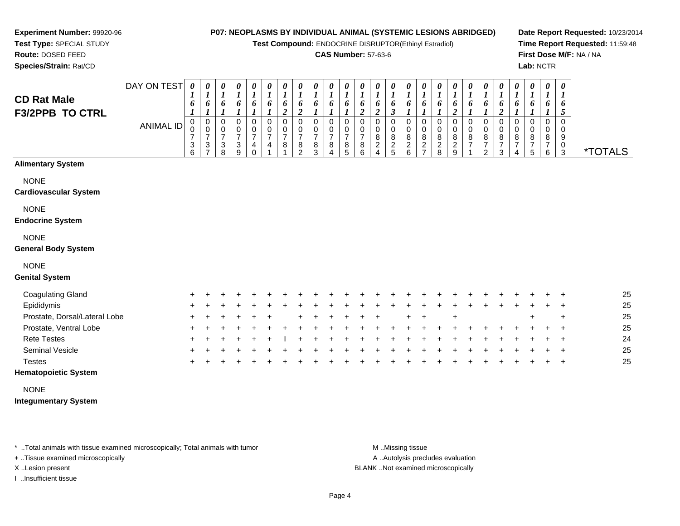**Test Compound:** ENDOCRINE DISRUPTOR(Ethinyl Estradiol)

#### **CAS Number:** 57-63-6

**Date Report Requested:** 10/23/2014**Time Report Requested:** 11:59:48**First Dose M/F:** NA / NA**Lab:** NCTR

**Experiment Number:** 99920-96**Test Type:** SPECIAL STUDY**Route:** DOSED FEED

**Species/Strain:** Rat/CD

| <b>CD Rat Male</b><br>F3/2PPB TO CTRL   | DAY ON TEST      | $\boldsymbol{\theta}$<br>o | 0<br>6      | $\boldsymbol{\theta}$<br>6 | $\boldsymbol{\theta}$<br>6         | $\boldsymbol{\theta}$<br>6 | 0<br>6      | $\boldsymbol{\theta}$<br>6 | $\boldsymbol{\theta}$<br>6 | $\boldsymbol{\theta}$<br>6 | 0<br>6           | $\boldsymbol{\theta}$<br>6 | $\boldsymbol{\theta}$<br>6 | $\boldsymbol{\theta}$<br>$\bm{b}$ | 0<br>6                | $\boldsymbol{\theta}$<br>6     | 0<br>6                        | $\boldsymbol{\theta}$<br>Ð | 0<br>6                              | $\boldsymbol{\theta}$<br>6 | $\boldsymbol{\theta}$<br>6 | $\boldsymbol{\theta}$<br>$\bm{b}$ | 0<br>6           | $\boldsymbol{\theta}$<br>6 | $\theta$<br>6    | $\boldsymbol{\theta}$<br>1<br>6 |                       |
|-----------------------------------------|------------------|----------------------------|-------------|----------------------------|------------------------------------|----------------------------|-------------|----------------------------|----------------------------|----------------------------|------------------|----------------------------|----------------------------|-----------------------------------|-----------------------|--------------------------------|-------------------------------|----------------------------|-------------------------------------|----------------------------|----------------------------|-----------------------------------|------------------|----------------------------|------------------|---------------------------------|-----------------------|
|                                         | <b>ANIMAL ID</b> | 3                          | 0<br>0<br>3 | 0<br>0<br>⇁<br>3<br>8      | 0<br>0<br>$\overline{ }$<br>3<br>9 | 4                          | 0<br>0<br>4 | 0<br>8                     | 0<br>0<br>8<br>ົ           |                            | 0<br>0<br>8<br>4 | 0<br>⇁<br>8<br>5           | 0<br>0<br>8<br>6           | 8<br>2<br>4                       | 0<br>0<br>8<br>2<br>5 | 0<br>8<br>◠<br>$\epsilon$<br>6 | 0<br>0<br>8<br>$\overline{2}$ | 8                          | 0<br>0<br>8<br>റ<br>$\epsilon$<br>9 | 0<br>8<br>⇁                | 0<br>0<br>8<br>2           | 8                                 | 0<br>0<br>8<br>4 | $\mathbf{0}$<br>8<br>5     | 0<br>0<br>8<br>6 | 0<br>9<br>-3                    | <i><b>*TOTALS</b></i> |
| <b>Alimentary System</b><br><b>NONE</b> |                  |                            |             |                            |                                    |                            |             |                            |                            |                            |                  |                            |                            |                                   |                       |                                |                               |                            |                                     |                            |                            |                                   |                  |                            |                  |                                 |                       |
| <b>Cardiovascular System</b>            |                  |                            |             |                            |                                    |                            |             |                            |                            |                            |                  |                            |                            |                                   |                       |                                |                               |                            |                                     |                            |                            |                                   |                  |                            |                  |                                 |                       |

NONE

**Endocrine System**

#### NONE

#### **General Body System**

## NONE

#### **Genital System**

| <b>Coagulating Gland</b>      |             | $+$ $+$ $+$ | $+$ | $\leftarrow$ | $\leftarrow$ |  |              |                 |  |                     |         | + + + + + + + + + + + + + + |  |         |  |     | $+$ $+$ $+$ |     | 25 |
|-------------------------------|-------------|-------------|-----|--------------|--------------|--|--------------|-----------------|--|---------------------|---------|-----------------------------|--|---------|--|-----|-------------|-----|----|
| Epididymis                    | $+$ $+$     | $+$         |     |              |              |  | $\leftarrow$ |                 |  | $+$ $+$ $+$ $+$ $+$ | $+$ $-$ |                             |  | $+$ $+$ |  |     | $+$ $+$ $+$ |     | 25 |
| Prostate, Dorsal/Lateral Lobe | $+$ $+$     | $+$         | $+$ |              | $+$          |  | + + + + + +  |                 |  |                     |         | $+$ $+$                     |  |         |  | $+$ |             | $+$ | 25 |
| Prostate, Ventral Lobe        | $+$ $+$ $+$ |             | $+$ | ÷.           |              |  | $+$ $-$      | $+$ $+$ $+$ $+$ |  |                     | $+$     |                             |  |         |  |     | $+$ $+$ $+$ |     | 25 |
| <b>Rete Testes</b>            |             | + + + + +   |     |              | $+$          |  |              |                 |  |                     |         | + + + + + + + + +           |  |         |  |     | $+$ $+$ $+$ |     | 24 |
| <b>Seminal Vesicle</b>        |             | $+$ $+$ $+$ | $+$ | $+$          |              |  | +            |                 |  |                     |         |                             |  |         |  |     | $+$ $+$ $+$ |     | 25 |
| Testes                        |             | $+$         |     |              |              |  |              |                 |  |                     |         |                             |  |         |  |     | $+$ $+$     |     | 25 |

## **Hematopoietic System**

#### NONE

#### **Integumentary System**

\* ..Total animals with tissue examined microscopically; Total animals with tumor **M** ...Missing tissue M ...Missing tissue

+ ..Tissue examined microscopically

I ..Insufficient tissue

A .. Autolysis precludes evaluation

X ..Lesion present BLANK ..Not examined microscopically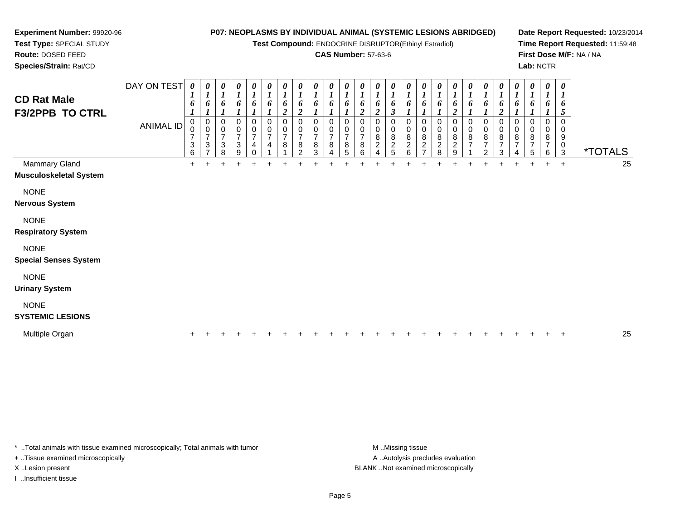**Test Compound:** ENDOCRINE DISRUPTOR(Ethinyl Estradiol)

## **CAS Number:** 57-63-6

**Date Report Requested:** 10/23/2014**Time Report Requested:** 11:59:48**First Dose M/F:** NA / NA**Lab:** NCTR

**Test Type:** SPECIAL STUDY**Route:** DOSED FEED**Species/Strain:** Rat/CD

**Experiment Number:** 99920-96

| <b>CD Rat Male</b><br><b>F3/2PPB TO CTRL</b> | DAY ON TEST<br>ANIMAL ID | 0<br>6<br>0<br>$\Omega$<br>7<br>3<br>6 | 0<br>6<br>0<br>$\Omega$<br>$\overline{7}$<br>3<br>$\overline{ }$ | $\boldsymbol{\theta}$<br>$\boldsymbol{l}$<br>6<br>$\mathbf 0$<br>$\mathbf 0$<br>$\overline{7}$<br>3<br>8 | 0<br>$\boldsymbol{l}$<br>6<br>$\Omega$<br>0<br>$\overline{7}$<br>3<br>9 | 0<br>$\boldsymbol{l}$<br>6<br>0<br>0<br>$\overline{7}$<br>4<br>0 | 0<br>$\boldsymbol{l}$<br>6<br>0<br>$\mathbf 0$<br>$\overline{7}$<br>4 | 0<br>$\boldsymbol{l}$<br>6<br>$\mathfrak{p}$<br>0<br>0<br>$\overline{7}$<br>8 | 0<br>$\boldsymbol{l}$<br>6<br>$\overline{c}$<br>$\Omega$<br>0<br>$\overline{7}$<br>8<br>$\overline{2}$ | 0<br>$\boldsymbol{l}$<br>6<br>0<br>$\mathbf 0$<br>$\overline{7}$<br>8<br>3 | 0<br>$\boldsymbol{l}$<br>6<br>0<br>0<br>$\overline{7}$<br>8<br>4 | 0<br>$\boldsymbol{l}$<br>6<br>0<br>0<br>$\overline{7}$<br>8<br>5 | 0<br>$\boldsymbol{l}$<br>6<br>$\boldsymbol{2}$<br>0<br>$\mathbf 0$<br>$\overline{7}$<br>8<br>6 | 0<br>$\boldsymbol{l}$<br>6<br>$\overline{2}$<br>0<br>$\pmb{0}$<br>$\bf8$<br>$\boldsymbol{2}$<br>$\overline{A}$ | $\boldsymbol{\theta}$<br>$\boldsymbol{l}$<br>6<br>$\boldsymbol{\beta}$<br>$\Omega$<br>$\mathbf 0$<br>$\bf 8$<br>$\overline{2}$<br>5 | 0<br>$\boldsymbol{l}$<br>6<br>0<br>8<br>$\overline{\mathbf{c}}$<br>6 | 0<br>$\boldsymbol{l}$<br>6<br>0<br>$\,0\,$<br>$\bf 8$<br>$\overline{2}$ | 0<br>$\boldsymbol{l}$<br>6<br>0<br>$\mathbf 0$<br>$\,8\,$<br>$\frac{2}{8}$ | 0<br>$\boldsymbol{l}$<br>6<br><u>ีว</u><br>0<br>$\mathbf 0$<br>8<br>$\boldsymbol{2}$<br>9 | 0<br>$\mathbf{I}$<br>6<br>0<br>$\pmb{0}$<br>8<br>$\overline{ }$ | 0<br>$\boldsymbol{l}$<br>6<br>0<br>0<br>$\,8\,$<br>$\overline{7}$<br>2 | 0<br>$\boldsymbol{l}$<br>6<br>0<br>8<br>7<br>3 | 0<br>$\boldsymbol{l}$<br>6<br>0<br>$\mathbf 0$<br>8<br>$\overline{ }$ | 0<br>$\boldsymbol{l}$<br>6<br>0<br>0<br>$\bf8$<br>7<br>5 | 0<br>$\boldsymbol{l}$<br>6<br>0<br>$\mathbf 0$<br>8<br>$\overline{7}$<br>6 | 0<br>6<br>5<br>$\Omega$<br>0<br>9<br>0<br>3 | <i><b>*TOTALS</b></i> |    |
|----------------------------------------------|--------------------------|----------------------------------------|------------------------------------------------------------------|----------------------------------------------------------------------------------------------------------|-------------------------------------------------------------------------|------------------------------------------------------------------|-----------------------------------------------------------------------|-------------------------------------------------------------------------------|--------------------------------------------------------------------------------------------------------|----------------------------------------------------------------------------|------------------------------------------------------------------|------------------------------------------------------------------|------------------------------------------------------------------------------------------------|----------------------------------------------------------------------------------------------------------------|-------------------------------------------------------------------------------------------------------------------------------------|----------------------------------------------------------------------|-------------------------------------------------------------------------|----------------------------------------------------------------------------|-------------------------------------------------------------------------------------------|-----------------------------------------------------------------|------------------------------------------------------------------------|------------------------------------------------|-----------------------------------------------------------------------|----------------------------------------------------------|----------------------------------------------------------------------------|---------------------------------------------|-----------------------|----|
| Mammary Gland                                |                          | +                                      |                                                                  |                                                                                                          |                                                                         |                                                                  |                                                                       |                                                                               |                                                                                                        |                                                                            |                                                                  |                                                                  |                                                                                                |                                                                                                                |                                                                                                                                     |                                                                      |                                                                         |                                                                            |                                                                                           |                                                                 |                                                                        |                                                | $\ddot{}$                                                             | $\ddot{}$                                                | $\ddot{}$                                                                  | $+$                                         |                       | 25 |
| <b>Musculoskeletal System</b>                |                          |                                        |                                                                  |                                                                                                          |                                                                         |                                                                  |                                                                       |                                                                               |                                                                                                        |                                                                            |                                                                  |                                                                  |                                                                                                |                                                                                                                |                                                                                                                                     |                                                                      |                                                                         |                                                                            |                                                                                           |                                                                 |                                                                        |                                                |                                                                       |                                                          |                                                                            |                                             |                       |    |
| <b>NONE</b>                                  |                          |                                        |                                                                  |                                                                                                          |                                                                         |                                                                  |                                                                       |                                                                               |                                                                                                        |                                                                            |                                                                  |                                                                  |                                                                                                |                                                                                                                |                                                                                                                                     |                                                                      |                                                                         |                                                                            |                                                                                           |                                                                 |                                                                        |                                                |                                                                       |                                                          |                                                                            |                                             |                       |    |
| <b>Nervous System</b>                        |                          |                                        |                                                                  |                                                                                                          |                                                                         |                                                                  |                                                                       |                                                                               |                                                                                                        |                                                                            |                                                                  |                                                                  |                                                                                                |                                                                                                                |                                                                                                                                     |                                                                      |                                                                         |                                                                            |                                                                                           |                                                                 |                                                                        |                                                |                                                                       |                                                          |                                                                            |                                             |                       |    |
| <b>NONE</b><br><b>Respiratory System</b>     |                          |                                        |                                                                  |                                                                                                          |                                                                         |                                                                  |                                                                       |                                                                               |                                                                                                        |                                                                            |                                                                  |                                                                  |                                                                                                |                                                                                                                |                                                                                                                                     |                                                                      |                                                                         |                                                                            |                                                                                           |                                                                 |                                                                        |                                                |                                                                       |                                                          |                                                                            |                                             |                       |    |
| <b>NONE</b><br><b>Special Senses System</b>  |                          |                                        |                                                                  |                                                                                                          |                                                                         |                                                                  |                                                                       |                                                                               |                                                                                                        |                                                                            |                                                                  |                                                                  |                                                                                                |                                                                                                                |                                                                                                                                     |                                                                      |                                                                         |                                                                            |                                                                                           |                                                                 |                                                                        |                                                |                                                                       |                                                          |                                                                            |                                             |                       |    |
|                                              |                          |                                        |                                                                  |                                                                                                          |                                                                         |                                                                  |                                                                       |                                                                               |                                                                                                        |                                                                            |                                                                  |                                                                  |                                                                                                |                                                                                                                |                                                                                                                                     |                                                                      |                                                                         |                                                                            |                                                                                           |                                                                 |                                                                        |                                                |                                                                       |                                                          |                                                                            |                                             |                       |    |
| <b>NONE</b>                                  |                          |                                        |                                                                  |                                                                                                          |                                                                         |                                                                  |                                                                       |                                                                               |                                                                                                        |                                                                            |                                                                  |                                                                  |                                                                                                |                                                                                                                |                                                                                                                                     |                                                                      |                                                                         |                                                                            |                                                                                           |                                                                 |                                                                        |                                                |                                                                       |                                                          |                                                                            |                                             |                       |    |
| <b>Urinary System</b>                        |                          |                                        |                                                                  |                                                                                                          |                                                                         |                                                                  |                                                                       |                                                                               |                                                                                                        |                                                                            |                                                                  |                                                                  |                                                                                                |                                                                                                                |                                                                                                                                     |                                                                      |                                                                         |                                                                            |                                                                                           |                                                                 |                                                                        |                                                |                                                                       |                                                          |                                                                            |                                             |                       |    |
| <b>NONE</b><br><b>SYSTEMIC LESIONS</b>       |                          |                                        |                                                                  |                                                                                                          |                                                                         |                                                                  |                                                                       |                                                                               |                                                                                                        |                                                                            |                                                                  |                                                                  |                                                                                                |                                                                                                                |                                                                                                                                     |                                                                      |                                                                         |                                                                            |                                                                                           |                                                                 |                                                                        |                                                |                                                                       |                                                          |                                                                            |                                             |                       |    |
| Multiple Organ                               |                          |                                        |                                                                  |                                                                                                          |                                                                         |                                                                  |                                                                       |                                                                               |                                                                                                        |                                                                            |                                                                  |                                                                  |                                                                                                |                                                                                                                |                                                                                                                                     |                                                                      |                                                                         |                                                                            |                                                                                           |                                                                 |                                                                        |                                                |                                                                       |                                                          |                                                                            |                                             |                       | 25 |

\* ..Total animals with tissue examined microscopically; Total animals with tumor **M** ...Missing tissue M ...Missing tissue

+ ..Tissue examined microscopically

I ..Insufficient tissue

A ..Autolysis precludes evaluation X ..Lesion present BLANK ..Not examined microscopically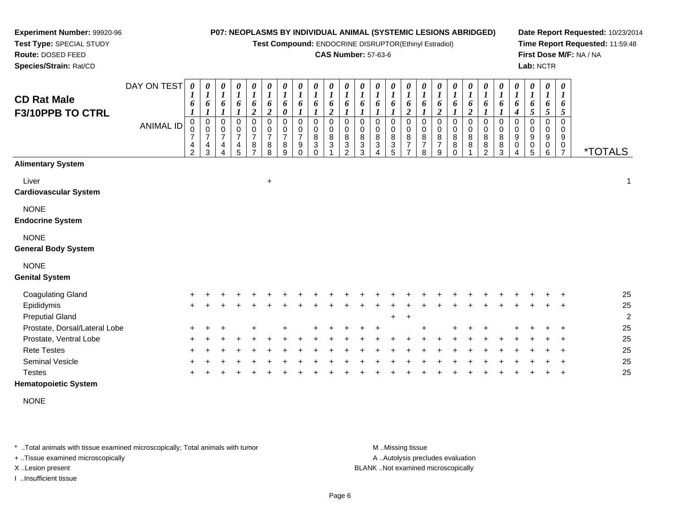**Test Compound:** ENDOCRINE DISRUPTOR(Ethinyl Estradiol)

#### **CAS Number:** 57-63-6

**Date Report Requested:** 10/23/2014**Time Report Requested:** 11:59:48**First Dose M/F:** NA / NA**Lab:** NCTR

| <b>CD Rat Male</b><br>F3/10PPB TO CTRL    | DAY ON TEST<br><b>ANIMAL ID</b> | 0<br>1<br>6<br>1<br>$\mathbf 0$<br>0<br>$\overline{7}$<br>4<br>$\overline{2}$ | 0<br>$\boldsymbol{l}$<br>6<br>$\boldsymbol{l}$<br>0<br>$\pmb{0}$<br>$\overline{7}$<br>4<br>3 | 0<br>$\boldsymbol{l}$<br>6<br>$\boldsymbol{l}$<br>0<br>$\,0\,$<br>$\overline{7}$<br>4 | 0<br>$\boldsymbol{l}$<br>6<br>1<br>0<br>$\,0\,$<br>$\overline{7}$<br>4<br>5 | 0<br>$\boldsymbol{l}$<br>6<br>$\boldsymbol{2}$<br>$\mathsf 0$<br>$\pmb{0}$<br>$\overline{7}$<br>8<br>$\overline{ }$ | 0<br>$\boldsymbol{l}$<br>6<br>$\overline{2}$<br>0<br>$\pmb{0}$<br>$\overline{7}$<br>8<br>8 | 0<br>$\boldsymbol{l}$<br>6<br>$\boldsymbol{\theta}$<br>$\mathbf 0$<br>$\pmb{0}$<br>$\overline{7}$<br>8<br>9 | 0<br>$\boldsymbol{l}$<br>6<br>$\boldsymbol{l}$<br>$\mathbf 0$<br>0<br>$\overline{7}$<br>9<br>$\Omega$ | 0<br>$\boldsymbol{l}$<br>6<br>0<br>0<br>8<br>3<br>0 | 0<br>$\boldsymbol{l}$<br>6<br>$\overline{c}$<br>0<br>$\mathbf 0$<br>8<br>3 | 0<br>$\boldsymbol{l}$<br>$\boldsymbol{l}$<br>$\Omega$<br>0<br>8<br>3<br>C | 0<br>6<br>0<br>0<br>8<br>$\sqrt{3}$<br>3 | 0<br>$\boldsymbol{l}$<br>6<br>0<br>$\boldsymbol{0}$<br>8<br>$\mathbf{3}$ | 0<br>1<br>6<br>$\boldsymbol{l}$<br>0<br>0<br>8<br>$\sqrt{3}$<br>5 | 0<br>$\boldsymbol{l}$<br>6<br>$\overline{\mathbf{c}}$<br>$\mathbf 0$<br>$\pmb{0}$<br>8<br>$\overline{7}$<br>$\overline{7}$ | 0<br>$\boldsymbol{l}$<br>6<br>$\boldsymbol{l}$<br>0<br>$\pmb{0}$<br>8<br>$\overline{7}$<br>8 | 0<br>$\boldsymbol{l}$<br>6<br>$\overline{2}$<br>0<br>$\mathbf 0$<br>8<br>$\overline{7}$<br>9 | 0<br>$\boldsymbol{l}$<br>6<br>$\boldsymbol{l}$<br>0<br>0<br>8<br>8<br>0 | 0<br>1<br>6<br>$\overline{c}$<br>$\mathbf 0$<br>$\pmb{0}$<br>8<br>8 | 0<br>$\boldsymbol{l}$<br>6<br>1<br>0<br>$\pmb{0}$<br>$\bf 8$<br>8<br>$\mathcal{P}$ | 0<br>$\boldsymbol{l}$<br>6<br>1<br>0<br>$\pmb{0}$<br>$\bf 8$<br>$\bf 8$<br>3 | 0<br>$\boldsymbol{l}$<br>6<br>$\boldsymbol{4}$<br>$\mathbf 0$<br>0<br>9<br>$\boldsymbol{0}$<br>4 | 0<br>$\boldsymbol{l}$<br>6<br>5<br>$\mathbf 0$<br>$\pmb{0}$<br>9<br>0<br>5 | 0<br>$\boldsymbol{l}$<br>6<br>$\mathfrak{s}$<br>$\mathbf 0$<br>$\pmb{0}$<br>9<br>$\mathbf 0$<br>6 | 0<br>$\boldsymbol{l}$<br>6<br>5<br>0<br>0<br>9<br>0<br>$\overline{7}$ | <i><b>*TOTALS</b></i> |
|-------------------------------------------|---------------------------------|-------------------------------------------------------------------------------|----------------------------------------------------------------------------------------------|---------------------------------------------------------------------------------------|-----------------------------------------------------------------------------|---------------------------------------------------------------------------------------------------------------------|--------------------------------------------------------------------------------------------|-------------------------------------------------------------------------------------------------------------|-------------------------------------------------------------------------------------------------------|-----------------------------------------------------|----------------------------------------------------------------------------|---------------------------------------------------------------------------|------------------------------------------|--------------------------------------------------------------------------|-------------------------------------------------------------------|----------------------------------------------------------------------------------------------------------------------------|----------------------------------------------------------------------------------------------|----------------------------------------------------------------------------------------------|-------------------------------------------------------------------------|---------------------------------------------------------------------|------------------------------------------------------------------------------------|------------------------------------------------------------------------------|--------------------------------------------------------------------------------------------------|----------------------------------------------------------------------------|---------------------------------------------------------------------------------------------------|-----------------------------------------------------------------------|-----------------------|
| <b>Alimentary System</b>                  |                                 |                                                                               |                                                                                              |                                                                                       |                                                                             |                                                                                                                     |                                                                                            |                                                                                                             |                                                                                                       |                                                     |                                                                            |                                                                           |                                          |                                                                          |                                                                   |                                                                                                                            |                                                                                              |                                                                                              |                                                                         |                                                                     |                                                                                    |                                                                              |                                                                                                  |                                                                            |                                                                                                   |                                                                       |                       |
| Liver<br><b>Cardiovascular System</b>     |                                 |                                                                               |                                                                                              |                                                                                       |                                                                             |                                                                                                                     | $\ddot{}$                                                                                  |                                                                                                             |                                                                                                       |                                                     |                                                                            |                                                                           |                                          |                                                                          |                                                                   |                                                                                                                            |                                                                                              |                                                                                              |                                                                         |                                                                     |                                                                                    |                                                                              |                                                                                                  |                                                                            |                                                                                                   |                                                                       | 1                     |
| <b>NONE</b><br><b>Endocrine System</b>    |                                 |                                                                               |                                                                                              |                                                                                       |                                                                             |                                                                                                                     |                                                                                            |                                                                                                             |                                                                                                       |                                                     |                                                                            |                                                                           |                                          |                                                                          |                                                                   |                                                                                                                            |                                                                                              |                                                                                              |                                                                         |                                                                     |                                                                                    |                                                                              |                                                                                                  |                                                                            |                                                                                                   |                                                                       |                       |
| <b>NONE</b><br><b>General Body System</b> |                                 |                                                                               |                                                                                              |                                                                                       |                                                                             |                                                                                                                     |                                                                                            |                                                                                                             |                                                                                                       |                                                     |                                                                            |                                                                           |                                          |                                                                          |                                                                   |                                                                                                                            |                                                                                              |                                                                                              |                                                                         |                                                                     |                                                                                    |                                                                              |                                                                                                  |                                                                            |                                                                                                   |                                                                       |                       |
| <b>NONE</b><br><b>Genital System</b>      |                                 |                                                                               |                                                                                              |                                                                                       |                                                                             |                                                                                                                     |                                                                                            |                                                                                                             |                                                                                                       |                                                     |                                                                            |                                                                           |                                          |                                                                          |                                                                   |                                                                                                                            |                                                                                              |                                                                                              |                                                                         |                                                                     |                                                                                    |                                                                              |                                                                                                  |                                                                            |                                                                                                   |                                                                       |                       |
| <b>Coagulating Gland</b>                  |                                 |                                                                               |                                                                                              |                                                                                       |                                                                             |                                                                                                                     |                                                                                            |                                                                                                             |                                                                                                       |                                                     |                                                                            |                                                                           |                                          |                                                                          |                                                                   |                                                                                                                            |                                                                                              |                                                                                              |                                                                         |                                                                     |                                                                                    |                                                                              |                                                                                                  |                                                                            |                                                                                                   |                                                                       | 25                    |
| Epididymis                                |                                 |                                                                               |                                                                                              |                                                                                       |                                                                             |                                                                                                                     |                                                                                            |                                                                                                             |                                                                                                       |                                                     |                                                                            |                                                                           |                                          |                                                                          |                                                                   |                                                                                                                            |                                                                                              |                                                                                              |                                                                         |                                                                     |                                                                                    |                                                                              |                                                                                                  |                                                                            |                                                                                                   |                                                                       | 25                    |
| <b>Preputial Gland</b>                    |                                 |                                                                               |                                                                                              |                                                                                       |                                                                             |                                                                                                                     |                                                                                            |                                                                                                             |                                                                                                       |                                                     |                                                                            |                                                                           |                                          |                                                                          | $\ddot{}$                                                         | $\overline{+}$                                                                                                             |                                                                                              |                                                                                              |                                                                         |                                                                     |                                                                                    |                                                                              |                                                                                                  |                                                                            |                                                                                                   |                                                                       | 2                     |
| Prostate, Dorsal/Lateral Lobe             |                                 |                                                                               |                                                                                              |                                                                                       |                                                                             |                                                                                                                     |                                                                                            |                                                                                                             |                                                                                                       |                                                     |                                                                            |                                                                           |                                          |                                                                          |                                                                   |                                                                                                                            |                                                                                              |                                                                                              |                                                                         |                                                                     |                                                                                    |                                                                              |                                                                                                  |                                                                            |                                                                                                   |                                                                       | 25                    |
| Prostate, Ventral Lobe                    |                                 |                                                                               |                                                                                              |                                                                                       |                                                                             |                                                                                                                     |                                                                                            |                                                                                                             |                                                                                                       |                                                     |                                                                            |                                                                           |                                          |                                                                          |                                                                   |                                                                                                                            |                                                                                              |                                                                                              |                                                                         |                                                                     |                                                                                    |                                                                              |                                                                                                  |                                                                            |                                                                                                   |                                                                       | 25                    |
| <b>Rete Testes</b>                        |                                 |                                                                               |                                                                                              |                                                                                       |                                                                             |                                                                                                                     |                                                                                            |                                                                                                             |                                                                                                       |                                                     |                                                                            |                                                                           |                                          |                                                                          |                                                                   |                                                                                                                            |                                                                                              |                                                                                              |                                                                         |                                                                     |                                                                                    |                                                                              |                                                                                                  |                                                                            |                                                                                                   |                                                                       | 25                    |
| Seminal Vesicle                           |                                 |                                                                               |                                                                                              |                                                                                       |                                                                             |                                                                                                                     |                                                                                            |                                                                                                             |                                                                                                       |                                                     |                                                                            |                                                                           |                                          |                                                                          |                                                                   |                                                                                                                            |                                                                                              |                                                                                              |                                                                         |                                                                     |                                                                                    |                                                                              |                                                                                                  |                                                                            |                                                                                                   |                                                                       | 25                    |
| <b>Testes</b>                             |                                 |                                                                               |                                                                                              |                                                                                       |                                                                             |                                                                                                                     |                                                                                            |                                                                                                             |                                                                                                       |                                                     |                                                                            |                                                                           |                                          |                                                                          |                                                                   |                                                                                                                            |                                                                                              |                                                                                              |                                                                         |                                                                     |                                                                                    |                                                                              |                                                                                                  |                                                                            |                                                                                                   |                                                                       | 25                    |
| <b>Hematopoietic System</b>               |                                 |                                                                               |                                                                                              |                                                                                       |                                                                             |                                                                                                                     |                                                                                            |                                                                                                             |                                                                                                       |                                                     |                                                                            |                                                                           |                                          |                                                                          |                                                                   |                                                                                                                            |                                                                                              |                                                                                              |                                                                         |                                                                     |                                                                                    |                                                                              |                                                                                                  |                                                                            |                                                                                                   |                                                                       |                       |

NONE

\* ..Total animals with tissue examined microscopically; Total animals with tumor **M** . Missing tissue M ..Missing tissue

+ ..Tissue examined microscopically

**Experiment Number:** 99920-96**Test Type:** SPECIAL STUDY**Route:** DOSED FEED**Species/Strain:** Rat/CD

I ..Insufficient tissue

A ..Autolysis precludes evaluation

X ..Lesion present BLANK ..Not examined microscopically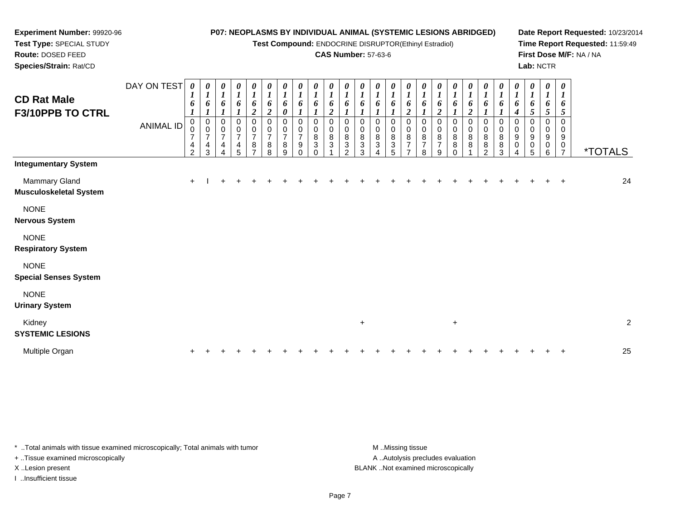**Test Compound:** ENDOCRINE DISRUPTOR(Ethinyl Estradiol)

## **CAS Number:** 57-63-6

**Date Report Requested:** 10/23/2014**Time Report Requested:** 11:59:49**First Dose M/F:** NA / NA**Lab:** NCTR

| <b>CD Rat Male</b><br>F3/10PPB TO CTRL         | DAY ON TEST<br>ANIMAL ID | 0<br>1<br>6<br>0<br>0<br>$\overline{7}$<br>4<br>$\overline{2}$ | $\boldsymbol{\theta}$<br>$\boldsymbol{l}$<br>6<br>$\boldsymbol{0}$<br>$\mathbf 0$<br>$\overline{7}$<br>$\overline{4}$<br>3 | 0<br>$\boldsymbol{l}$<br>6<br>0<br>0<br>$\overline{7}$<br>4<br>4 | $\boldsymbol{\theta}$<br>$\boldsymbol{l}$<br>6<br>0<br>$\overline{7}$<br>4<br>5 | 0<br>$\boldsymbol{l}$<br>6<br>$\boldsymbol{2}$<br>0<br>0<br>$\overline{7}$<br>8 | $\boldsymbol{\theta}$<br>$\boldsymbol{l}$<br>$\pmb{6}$<br>$\boldsymbol{2}$<br>0<br>$\mathbf 0$<br>$\overline{7}$<br>8<br>8 | 0<br>$\boldsymbol{l}$<br>6<br>0<br>0<br>0<br>$\overline{7}$<br>8<br>9 | $\boldsymbol{\theta}$<br>$\boldsymbol{l}$<br>6<br>0<br>0<br>$\overline{7}$<br>9 | 0<br>$\boldsymbol{l}$<br>6<br>0<br>0<br>8<br>3 | $\boldsymbol{\theta}$<br>$\boldsymbol{l}$<br>6<br>$\overline{2}$<br>$\mathbf 0$<br>0<br>8<br>3 | 0<br>$\boldsymbol{l}$<br>6<br>0<br>0<br>8<br>3<br>2 | $\boldsymbol{\theta}$<br>$\boldsymbol{l}$<br>6<br>0<br>8<br>3<br>3 | 0<br>$\boldsymbol{l}$<br>6<br>0<br>0<br>8<br>3 | 0<br>$\boldsymbol{\mathit{1}}$<br>6<br>0<br>0<br>$\bf 8$<br>3<br>5 | 0<br>$\boldsymbol{l}$<br>6<br>$\boldsymbol{2}$<br>0<br>$\mathbf 0$<br>8<br>$\overline{7}$ | 0<br>$\boldsymbol{l}$<br>6<br>0<br>0<br>8<br>7<br>8 | 0<br>$\boldsymbol{l}$<br>6<br>$\overline{2}$<br>0<br>0<br>8<br>$\overline{7}$<br>9 | $\boldsymbol{\theta}$<br>$\boldsymbol{l}$<br>6<br>$\mathbf 0$<br>0<br>8<br>8 | 0<br>$\boldsymbol{l}$<br>6<br>$\boldsymbol{2}$<br>0<br>0<br>8<br>8 | $\boldsymbol{\theta}$<br>$\boldsymbol{l}$<br>6<br>$\mathbf 0$<br>0<br>8<br>8<br>າ | 0<br>$\boldsymbol{l}$<br>6<br>0<br>0<br>$\bf 8$<br>8<br>3 | 0<br>$\boldsymbol{l}$<br>6<br>4<br>0<br>$\pmb{0}$<br>9<br>$\mathbf 0$<br>4 | 0<br>$\boldsymbol{l}$<br>6<br>5<br>0<br>$\pmb{0}$<br>9<br>0<br>5 | $\pmb{\theta}$<br>$\boldsymbol{l}$<br>6<br>$\sqrt{5}$<br>$\pmb{0}$<br>0<br>9<br>0<br>6 | $\pmb{\theta}$<br>1<br>6<br>5<br>0<br>0<br>9<br>0<br>$\overline{7}$ | <i><b>*TOTALS</b></i> |                         |
|------------------------------------------------|--------------------------|----------------------------------------------------------------|----------------------------------------------------------------------------------------------------------------------------|------------------------------------------------------------------|---------------------------------------------------------------------------------|---------------------------------------------------------------------------------|----------------------------------------------------------------------------------------------------------------------------|-----------------------------------------------------------------------|---------------------------------------------------------------------------------|------------------------------------------------|------------------------------------------------------------------------------------------------|-----------------------------------------------------|--------------------------------------------------------------------|------------------------------------------------|--------------------------------------------------------------------|-------------------------------------------------------------------------------------------|-----------------------------------------------------|------------------------------------------------------------------------------------|------------------------------------------------------------------------------|--------------------------------------------------------------------|-----------------------------------------------------------------------------------|-----------------------------------------------------------|----------------------------------------------------------------------------|------------------------------------------------------------------|----------------------------------------------------------------------------------------|---------------------------------------------------------------------|-----------------------|-------------------------|
| <b>Integumentary System</b>                    |                          |                                                                |                                                                                                                            |                                                                  |                                                                                 |                                                                                 |                                                                                                                            |                                                                       |                                                                                 |                                                |                                                                                                |                                                     |                                                                    |                                                |                                                                    |                                                                                           |                                                     |                                                                                    |                                                                              |                                                                    |                                                                                   |                                                           |                                                                            |                                                                  |                                                                                        |                                                                     |                       |                         |
| Mammary Gland<br><b>Musculoskeletal System</b> |                          | $+$                                                            |                                                                                                                            |                                                                  |                                                                                 |                                                                                 |                                                                                                                            |                                                                       |                                                                                 |                                                |                                                                                                |                                                     |                                                                    |                                                |                                                                    |                                                                                           |                                                     |                                                                                    |                                                                              |                                                                    |                                                                                   |                                                           |                                                                            |                                                                  |                                                                                        |                                                                     |                       | 24                      |
| <b>NONE</b><br><b>Nervous System</b>           |                          |                                                                |                                                                                                                            |                                                                  |                                                                                 |                                                                                 |                                                                                                                            |                                                                       |                                                                                 |                                                |                                                                                                |                                                     |                                                                    |                                                |                                                                    |                                                                                           |                                                     |                                                                                    |                                                                              |                                                                    |                                                                                   |                                                           |                                                                            |                                                                  |                                                                                        |                                                                     |                       |                         |
| <b>NONE</b><br><b>Respiratory System</b>       |                          |                                                                |                                                                                                                            |                                                                  |                                                                                 |                                                                                 |                                                                                                                            |                                                                       |                                                                                 |                                                |                                                                                                |                                                     |                                                                    |                                                |                                                                    |                                                                                           |                                                     |                                                                                    |                                                                              |                                                                    |                                                                                   |                                                           |                                                                            |                                                                  |                                                                                        |                                                                     |                       |                         |
| <b>NONE</b><br><b>Special Senses System</b>    |                          |                                                                |                                                                                                                            |                                                                  |                                                                                 |                                                                                 |                                                                                                                            |                                                                       |                                                                                 |                                                |                                                                                                |                                                     |                                                                    |                                                |                                                                    |                                                                                           |                                                     |                                                                                    |                                                                              |                                                                    |                                                                                   |                                                           |                                                                            |                                                                  |                                                                                        |                                                                     |                       |                         |
| <b>NONE</b><br><b>Urinary System</b>           |                          |                                                                |                                                                                                                            |                                                                  |                                                                                 |                                                                                 |                                                                                                                            |                                                                       |                                                                                 |                                                |                                                                                                |                                                     |                                                                    |                                                |                                                                    |                                                                                           |                                                     |                                                                                    |                                                                              |                                                                    |                                                                                   |                                                           |                                                                            |                                                                  |                                                                                        |                                                                     |                       |                         |
| Kidney<br><b>SYSTEMIC LESIONS</b>              |                          |                                                                |                                                                                                                            |                                                                  |                                                                                 |                                                                                 |                                                                                                                            |                                                                       |                                                                                 |                                                |                                                                                                |                                                     | $\ddot{}$                                                          |                                                |                                                                    |                                                                                           |                                                     |                                                                                    | $\ddot{}$                                                                    |                                                                    |                                                                                   |                                                           |                                                                            |                                                                  |                                                                                        |                                                                     |                       | $\overline{\mathbf{c}}$ |
| Multiple Organ                                 |                          |                                                                |                                                                                                                            |                                                                  |                                                                                 |                                                                                 |                                                                                                                            |                                                                       |                                                                                 |                                                |                                                                                                |                                                     |                                                                    |                                                |                                                                    |                                                                                           |                                                     |                                                                                    |                                                                              |                                                                    |                                                                                   |                                                           |                                                                            |                                                                  |                                                                                        |                                                                     |                       | 25                      |

\* ..Total animals with tissue examined microscopically; Total animals with tumor **M** . Missing tissue M ..Missing tissue

+ ..Tissue examined microscopically

**Experiment Number:** 99920-96**Test Type:** SPECIAL STUDY**Route:** DOSED FEED**Species/Strain:** Rat/CD

I ..Insufficient tissue

A ..Autolysis precludes evaluation X ..Lesion present BLANK ..Not examined microscopically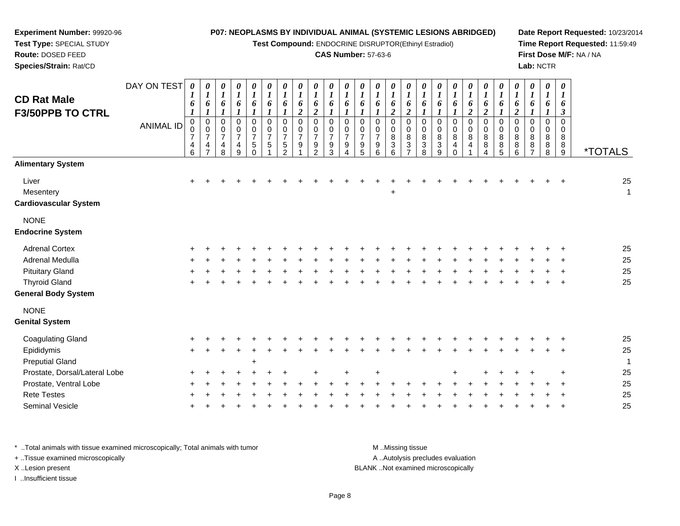**Test Compound:** ENDOCRINE DISRUPTOR(Ethinyl Estradiol)

## **CAS Number:** 57-63-6

**Date Report Requested:** 10/23/2014**Time Report Requested:** 11:59:49**First Dose M/F:** NA / NA**Lab:** NCTR

| <b>CD Rat Male</b><br><b>F3/50PPB TO CTRL</b>      | DAY ON TEST<br><b>ANIMAL ID</b> | 0<br>$\boldsymbol{l}$<br>6<br>$\boldsymbol{l}$<br>$\mathbf 0$<br>0<br>$\overline{7}$<br>$\begin{array}{c} 4 \\ 6 \end{array}$ | 0<br>$\boldsymbol{l}$<br>6<br>$\mathbf 0$<br>$\mathbf 0$<br>$\overline{7}$<br>4 | 0<br>$\boldsymbol{l}$<br>6<br>$\mathbf{I}$<br>$\pmb{0}$<br>$\pmb{0}$<br>$\overline{7}$<br>$\begin{array}{c} 4 \\ 8 \end{array}$ | $\frac{\theta}{I}$<br>6<br>$\boldsymbol{l}$<br>$\pmb{0}$<br>$\mathbf 0$<br>$\overline{7}$<br>$\frac{4}{9}$ | 0<br>$\boldsymbol{l}$<br>6<br>1<br>0<br>$\pmb{0}$<br>$\overline{7}$<br>$\,$ 5 $\,$<br>$\Omega$ | 0<br>$\boldsymbol{l}$<br>6<br>$\boldsymbol{l}$<br>$\mathbf 0$<br>$\mathbf 0$<br>$\overline{7}$<br>$\mathbf 5$ | 0<br>$\boldsymbol{l}$<br>6<br>$\mathbf{I}$<br>$\mathbf 0$<br>$\mathbf 0$<br>$\overline{7}$<br>$\frac{5}{2}$ | 0<br>$\boldsymbol{l}$<br>6<br>$\overline{2}$<br>$\Omega$<br>$\Omega$<br>$\overline{7}$<br>9 | 0<br>$\boldsymbol{l}$<br>6<br>$\overline{2}$<br>$\Omega$<br>$\Omega$<br>$\overline{7}$<br>$\frac{9}{2}$ | 0<br>$\boldsymbol{l}$<br>6<br>$\mathbf{I}$<br>$\Omega$<br>$\Omega$<br>9<br>3 | 0<br>$\boldsymbol{l}$<br>6<br>$\Omega$<br>$\mathbf 0$<br>$\overline{7}$<br>9<br>$\lambda$ | 0<br>$\boldsymbol{l}$<br>6<br>$\mathbf 0$<br>0<br>$\overline{7}$<br>9<br>5 | 0<br>$\boldsymbol{l}$<br>6<br>0<br>$\mathbf 0$<br>$\overline{7}$<br>9<br>6 | 0<br>$\boldsymbol{l}$<br>6<br>$\boldsymbol{2}$<br>$\mathbf 0$<br>$\mathbf 0$<br>8<br>$\ensuremath{\mathsf{3}}$<br>6 | 0<br>$\boldsymbol{l}$<br>6<br>$\boldsymbol{2}$<br>$\mathbf 0$<br>$\mathbf 0$<br>8<br>$\frac{3}{7}$ | 0<br>$\boldsymbol{l}$<br>6<br>1<br>0<br>0<br>8<br>3<br>$\overline{8}$ | 0<br>$\boldsymbol{l}$<br>6<br>1<br>0<br>0<br>8<br>$\frac{3}{9}$ | 0<br>$\boldsymbol{l}$<br>1<br>$\mathbf 0$<br>0<br>8<br>4<br>$\Omega$ | 0<br>1<br>6<br>$\boldsymbol{2}$<br>$\mathbf 0$<br>0<br>8<br>4 | 0<br>1<br>6<br>$\overline{c}$<br>0<br>0<br>8<br>8 | 0<br>$\boldsymbol{l}$<br>6<br>$\mathbf{I}$<br>$\mathbf 0$<br>$\mathbf 0$<br>8<br>$\begin{array}{c} 8 \\ 5 \end{array}$ | 0<br>$\boldsymbol{l}$<br>6<br>$\overline{c}$<br>$\mathbf 0$<br>$\mathbf 0$<br>8<br>8<br>6 | 0<br>$\boldsymbol{I}$<br>6<br>$\mathbf 0$<br>$\mathbf 0$<br>8<br>8<br>$\overline{7}$ | 0<br>$\bm{l}$<br>6<br>$\Omega$<br>$\mathbf 0$<br>8<br>$_{8}^8$ | $\boldsymbol{\theta}$<br>1<br>6<br>3<br>$\Omega$<br>$\Omega$<br>8<br>$\frac{8}{9}$ | <i><b>*TOTALS</b></i> |
|----------------------------------------------------|---------------------------------|-------------------------------------------------------------------------------------------------------------------------------|---------------------------------------------------------------------------------|---------------------------------------------------------------------------------------------------------------------------------|------------------------------------------------------------------------------------------------------------|------------------------------------------------------------------------------------------------|---------------------------------------------------------------------------------------------------------------|-------------------------------------------------------------------------------------------------------------|---------------------------------------------------------------------------------------------|---------------------------------------------------------------------------------------------------------|------------------------------------------------------------------------------|-------------------------------------------------------------------------------------------|----------------------------------------------------------------------------|----------------------------------------------------------------------------|---------------------------------------------------------------------------------------------------------------------|----------------------------------------------------------------------------------------------------|-----------------------------------------------------------------------|-----------------------------------------------------------------|----------------------------------------------------------------------|---------------------------------------------------------------|---------------------------------------------------|------------------------------------------------------------------------------------------------------------------------|-------------------------------------------------------------------------------------------|--------------------------------------------------------------------------------------|----------------------------------------------------------------|------------------------------------------------------------------------------------|-----------------------|
| <b>Alimentary System</b>                           |                                 |                                                                                                                               |                                                                                 |                                                                                                                                 |                                                                                                            |                                                                                                |                                                                                                               |                                                                                                             |                                                                                             |                                                                                                         |                                                                              |                                                                                           |                                                                            |                                                                            |                                                                                                                     |                                                                                                    |                                                                       |                                                                 |                                                                      |                                                               |                                                   |                                                                                                                        |                                                                                           |                                                                                      |                                                                |                                                                                    |                       |
| Liver<br>Mesentery<br><b>Cardiovascular System</b> |                                 | $\ddot{}$                                                                                                                     |                                                                                 |                                                                                                                                 |                                                                                                            |                                                                                                |                                                                                                               |                                                                                                             |                                                                                             |                                                                                                         |                                                                              |                                                                                           |                                                                            |                                                                            | $\ddot{}$                                                                                                           |                                                                                                    |                                                                       |                                                                 |                                                                      |                                                               |                                                   |                                                                                                                        |                                                                                           |                                                                                      |                                                                |                                                                                    | 25<br>$\mathbf{1}$    |
| <b>NONE</b><br><b>Endocrine System</b>             |                                 |                                                                                                                               |                                                                                 |                                                                                                                                 |                                                                                                            |                                                                                                |                                                                                                               |                                                                                                             |                                                                                             |                                                                                                         |                                                                              |                                                                                           |                                                                            |                                                                            |                                                                                                                     |                                                                                                    |                                                                       |                                                                 |                                                                      |                                                               |                                                   |                                                                                                                        |                                                                                           |                                                                                      |                                                                |                                                                                    |                       |
| <b>Adrenal Cortex</b>                              |                                 |                                                                                                                               |                                                                                 |                                                                                                                                 |                                                                                                            |                                                                                                |                                                                                                               |                                                                                                             |                                                                                             |                                                                                                         |                                                                              |                                                                                           |                                                                            |                                                                            |                                                                                                                     |                                                                                                    |                                                                       |                                                                 |                                                                      |                                                               |                                                   |                                                                                                                        |                                                                                           |                                                                                      |                                                                |                                                                                    | 25                    |
| <b>Adrenal Medulla</b>                             |                                 |                                                                                                                               |                                                                                 |                                                                                                                                 |                                                                                                            |                                                                                                |                                                                                                               |                                                                                                             |                                                                                             |                                                                                                         |                                                                              |                                                                                           |                                                                            |                                                                            |                                                                                                                     |                                                                                                    |                                                                       |                                                                 |                                                                      |                                                               |                                                   |                                                                                                                        |                                                                                           |                                                                                      |                                                                |                                                                                    | 25                    |
| <b>Pituitary Gland</b>                             |                                 |                                                                                                                               |                                                                                 |                                                                                                                                 |                                                                                                            |                                                                                                |                                                                                                               |                                                                                                             |                                                                                             |                                                                                                         |                                                                              |                                                                                           |                                                                            |                                                                            |                                                                                                                     |                                                                                                    |                                                                       |                                                                 |                                                                      |                                                               |                                                   |                                                                                                                        |                                                                                           |                                                                                      |                                                                |                                                                                    | 25                    |
| <b>Thyroid Gland</b>                               |                                 |                                                                                                                               |                                                                                 |                                                                                                                                 |                                                                                                            |                                                                                                |                                                                                                               |                                                                                                             |                                                                                             |                                                                                                         |                                                                              |                                                                                           |                                                                            |                                                                            |                                                                                                                     |                                                                                                    |                                                                       |                                                                 |                                                                      |                                                               |                                                   |                                                                                                                        |                                                                                           |                                                                                      |                                                                |                                                                                    | 25                    |
| <b>General Body System</b>                         |                                 |                                                                                                                               |                                                                                 |                                                                                                                                 |                                                                                                            |                                                                                                |                                                                                                               |                                                                                                             |                                                                                             |                                                                                                         |                                                                              |                                                                                           |                                                                            |                                                                            |                                                                                                                     |                                                                                                    |                                                                       |                                                                 |                                                                      |                                                               |                                                   |                                                                                                                        |                                                                                           |                                                                                      |                                                                |                                                                                    |                       |
| <b>NONE</b><br><b>Genital System</b>               |                                 |                                                                                                                               |                                                                                 |                                                                                                                                 |                                                                                                            |                                                                                                |                                                                                                               |                                                                                                             |                                                                                             |                                                                                                         |                                                                              |                                                                                           |                                                                            |                                                                            |                                                                                                                     |                                                                                                    |                                                                       |                                                                 |                                                                      |                                                               |                                                   |                                                                                                                        |                                                                                           |                                                                                      |                                                                |                                                                                    |                       |
| <b>Coagulating Gland</b>                           |                                 |                                                                                                                               |                                                                                 |                                                                                                                                 |                                                                                                            |                                                                                                |                                                                                                               |                                                                                                             |                                                                                             |                                                                                                         |                                                                              |                                                                                           |                                                                            |                                                                            |                                                                                                                     |                                                                                                    |                                                                       |                                                                 |                                                                      |                                                               |                                                   |                                                                                                                        |                                                                                           |                                                                                      |                                                                |                                                                                    | 25                    |
| Epididymis                                         |                                 | $\ddot{}$                                                                                                                     |                                                                                 |                                                                                                                                 |                                                                                                            |                                                                                                |                                                                                                               |                                                                                                             |                                                                                             |                                                                                                         |                                                                              |                                                                                           |                                                                            |                                                                            |                                                                                                                     |                                                                                                    |                                                                       |                                                                 |                                                                      |                                                               |                                                   |                                                                                                                        |                                                                                           |                                                                                      |                                                                |                                                                                    | 25                    |
| <b>Preputial Gland</b>                             |                                 |                                                                                                                               |                                                                                 |                                                                                                                                 |                                                                                                            | $\ddot{}$                                                                                      |                                                                                                               |                                                                                                             |                                                                                             |                                                                                                         |                                                                              |                                                                                           |                                                                            |                                                                            |                                                                                                                     |                                                                                                    |                                                                       |                                                                 |                                                                      |                                                               |                                                   |                                                                                                                        |                                                                                           |                                                                                      |                                                                |                                                                                    | $\mathbf 1$           |
| Prostate, Dorsal/Lateral Lobe                      |                                 |                                                                                                                               |                                                                                 |                                                                                                                                 |                                                                                                            |                                                                                                |                                                                                                               |                                                                                                             |                                                                                             |                                                                                                         |                                                                              |                                                                                           |                                                                            |                                                                            |                                                                                                                     |                                                                                                    |                                                                       |                                                                 |                                                                      |                                                               |                                                   |                                                                                                                        |                                                                                           |                                                                                      |                                                                | $\ddot{}$                                                                          | 25                    |
| Prostate, Ventral Lobe                             |                                 |                                                                                                                               |                                                                                 |                                                                                                                                 |                                                                                                            |                                                                                                |                                                                                                               |                                                                                                             |                                                                                             |                                                                                                         |                                                                              |                                                                                           |                                                                            |                                                                            |                                                                                                                     |                                                                                                    |                                                                       |                                                                 |                                                                      |                                                               |                                                   |                                                                                                                        |                                                                                           |                                                                                      |                                                                |                                                                                    | 25                    |
| <b>Rete Testes</b>                                 |                                 |                                                                                                                               |                                                                                 |                                                                                                                                 |                                                                                                            |                                                                                                |                                                                                                               |                                                                                                             |                                                                                             |                                                                                                         |                                                                              |                                                                                           |                                                                            |                                                                            |                                                                                                                     |                                                                                                    |                                                                       |                                                                 |                                                                      |                                                               |                                                   |                                                                                                                        |                                                                                           |                                                                                      |                                                                |                                                                                    | 25                    |
| Seminal Vesicle                                    |                                 |                                                                                                                               |                                                                                 |                                                                                                                                 |                                                                                                            |                                                                                                |                                                                                                               |                                                                                                             |                                                                                             |                                                                                                         |                                                                              |                                                                                           |                                                                            |                                                                            |                                                                                                                     |                                                                                                    |                                                                       |                                                                 |                                                                      |                                                               |                                                   |                                                                                                                        |                                                                                           |                                                                                      |                                                                |                                                                                    | 25                    |
|                                                    |                                 |                                                                                                                               |                                                                                 |                                                                                                                                 |                                                                                                            |                                                                                                |                                                                                                               |                                                                                                             |                                                                                             |                                                                                                         |                                                                              |                                                                                           |                                                                            |                                                                            |                                                                                                                     |                                                                                                    |                                                                       |                                                                 |                                                                      |                                                               |                                                   |                                                                                                                        |                                                                                           |                                                                                      |                                                                |                                                                                    |                       |

\* ..Total animals with tissue examined microscopically; Total animals with tumor **M** . Missing tissue M ..Missing tissue A ..Autolysis precludes evaluation + ..Tissue examined microscopically X ..Lesion present BLANK ..Not examined microscopicallyI ..Insufficient tissue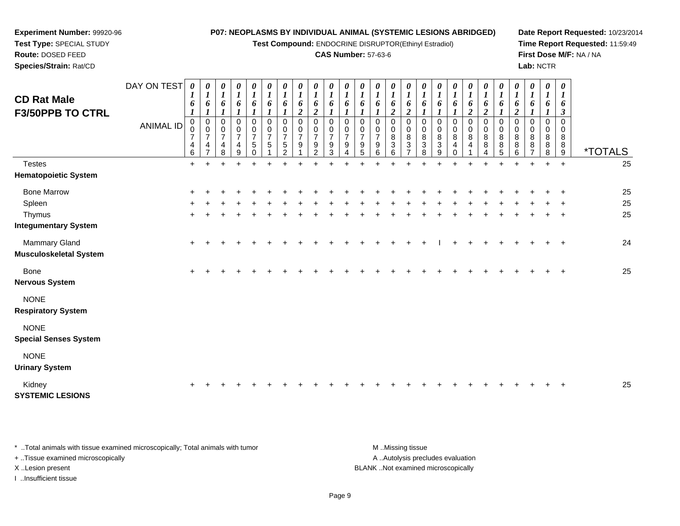**Test Compound:** ENDOCRINE DISRUPTOR(Ethinyl Estradiol)

## **CAS Number:** 57-63-6

**Date Report Requested:** 10/23/2014**Time Report Requested:** 11:59:49**First Dose M/F:** NA / NA**Lab:** NCTR

| Species/Strain: Rat/CD                                |                                 |                                      |                                                                                             |                                                               |                                                                                       |                                                              |                                                                                 |                                                                  |                                              |                                                                     |                              |                                                           |                                    |                                                   |                                                                                                            |                                                                   |             |                        |                  |                                             |                                        |                                            |                  |                     | Lab: NCTR                                      |                                                      |                       |
|-------------------------------------------------------|---------------------------------|--------------------------------------|---------------------------------------------------------------------------------------------|---------------------------------------------------------------|---------------------------------------------------------------------------------------|--------------------------------------------------------------|---------------------------------------------------------------------------------|------------------------------------------------------------------|----------------------------------------------|---------------------------------------------------------------------|------------------------------|-----------------------------------------------------------|------------------------------------|---------------------------------------------------|------------------------------------------------------------------------------------------------------------|-------------------------------------------------------------------|-------------|------------------------|------------------|---------------------------------------------|----------------------------------------|--------------------------------------------|------------------|---------------------|------------------------------------------------|------------------------------------------------------|-----------------------|
| <b>CD Rat Male</b><br><b>F3/50PPB TO CTRL</b>         | DAY ON TEST<br><b>ANIMAL ID</b> | $\theta$<br>6<br>$\overline{ }$<br>4 | $\boldsymbol{\theta}$<br>6<br>0<br>$\mathbf 0$<br>$\overline{7}$<br>$\overline{\mathbf{4}}$ | 0<br>6<br>0<br>0<br>$\overline{7}$<br>$\overline{\mathbf{4}}$ | 0<br>$\boldsymbol{l}$<br>6<br>$\mathbf 0$<br>$\frac{0}{7}$<br>$\overline{\mathbf{4}}$ | U<br>6<br>0<br>$\pmb{0}$<br>$\overline{ }$<br>$\overline{5}$ | $\boldsymbol{\theta}$<br>6<br>$\mathbf 0$<br>$\mathbf 0$<br>$\overline{z}$<br>5 | $\boldsymbol{l}$<br>6<br>$\boldsymbol{0}$<br>$\overline{7}$<br>5 | 0<br>0<br>0<br>$\overline{\phantom{a}}$<br>9 | 0<br>6<br>$\overline{2}$<br>0<br>$\overline{7}$<br>$\boldsymbol{9}$ | 0<br>$\overline{ }$<br>$9\,$ | 6<br>0<br>$\pmb{0}$<br>$\overline{7}$<br>$\boldsymbol{9}$ | $\mathbf 0$<br>$\overline{7}$<br>9 | 6<br>0<br>0<br>$\overline{ }$<br>$\boldsymbol{9}$ | $\boldsymbol{\theta}$<br>6<br>$\mathbf{\hat{z}}$<br>$\mathbf 0$<br>$\mathbf 0$<br>$\bf8$<br>$\overline{3}$ | 6<br>$\overline{2}$<br>0<br>$\mathbf 0$<br>$\, 8$<br>$\mathbf{3}$ | 0<br>8<br>3 | 0<br>8<br>$\mathbf{3}$ | 6<br>0<br>0<br>8 | 6<br>$\overline{\mathbf{c}}$<br>0<br>8<br>4 | 6<br>$\mathbf{\hat{z}}$<br>0<br>8<br>8 | 6<br>$\Omega$<br>$\pmb{0}$<br>8<br>$\bf 8$ | 0<br>$\bf8$<br>8 | $\pmb{0}$<br>8<br>8 | $\boldsymbol{\theta}$<br>6<br>0<br>0<br>8<br>8 | $\boldsymbol{\theta}$<br>6<br>3<br>0<br>8<br>$\bf 8$ |                       |
|                                                       |                                 | 6                                    |                                                                                             | 8                                                             | 9                                                                                     |                                                              |                                                                                 | າ                                                                |                                              | $\mathfrak{D}$                                                      | 3                            |                                                           |                                    | 6                                                 | 6                                                                                                          | $\overline{ }$                                                    | 8           | 9                      |                  |                                             |                                        | 5                                          | 6                |                     | 8                                              | 9                                                    | <i><b>*TOTALS</b></i> |
| <b>Testes</b>                                         |                                 | $+$                                  |                                                                                             |                                                               |                                                                                       |                                                              |                                                                                 |                                                                  |                                              |                                                                     |                              |                                                           |                                    |                                                   |                                                                                                            |                                                                   |             |                        |                  |                                             |                                        |                                            |                  |                     | ÷                                              | $+$                                                  | 25                    |
| <b>Hematopoietic System</b>                           |                                 |                                      |                                                                                             |                                                               |                                                                                       |                                                              |                                                                                 |                                                                  |                                              |                                                                     |                              |                                                           |                                    |                                                   |                                                                                                            |                                                                   |             |                        |                  |                                             |                                        |                                            |                  |                     |                                                |                                                      |                       |
| <b>Bone Marrow</b>                                    |                                 |                                      |                                                                                             |                                                               |                                                                                       |                                                              |                                                                                 |                                                                  |                                              |                                                                     |                              |                                                           |                                    |                                                   |                                                                                                            |                                                                   |             |                        |                  |                                             |                                        |                                            |                  |                     |                                                |                                                      | 25                    |
| Spleen                                                |                                 | $\pm$                                |                                                                                             |                                                               |                                                                                       |                                                              |                                                                                 |                                                                  |                                              |                                                                     |                              |                                                           |                                    |                                                   |                                                                                                            |                                                                   |             |                        |                  |                                             |                                        |                                            |                  |                     |                                                |                                                      | 25                    |
| Thymus                                                |                                 | $\ddot{}$                            |                                                                                             |                                                               |                                                                                       |                                                              |                                                                                 |                                                                  |                                              |                                                                     |                              |                                                           |                                    |                                                   |                                                                                                            |                                                                   |             |                        |                  |                                             |                                        |                                            |                  |                     |                                                | $\ddot{}$                                            | 25                    |
| <b>Integumentary System</b>                           |                                 |                                      |                                                                                             |                                                               |                                                                                       |                                                              |                                                                                 |                                                                  |                                              |                                                                     |                              |                                                           |                                    |                                                   |                                                                                                            |                                                                   |             |                        |                  |                                             |                                        |                                            |                  |                     |                                                |                                                      |                       |
| <b>Mammary Gland</b><br><b>Musculoskeletal System</b> |                                 | $+$                                  |                                                                                             |                                                               |                                                                                       |                                                              |                                                                                 |                                                                  |                                              |                                                                     |                              |                                                           |                                    |                                                   |                                                                                                            |                                                                   |             |                        |                  |                                             |                                        |                                            |                  |                     |                                                | $\ddot{}$                                            | 24                    |
| Bone                                                  |                                 | $\pm$                                |                                                                                             |                                                               |                                                                                       |                                                              |                                                                                 |                                                                  |                                              |                                                                     |                              |                                                           |                                    |                                                   |                                                                                                            |                                                                   |             |                        |                  |                                             |                                        |                                            |                  |                     |                                                | $\div$                                               | 25                    |
|                                                       |                                 |                                      |                                                                                             |                                                               |                                                                                       |                                                              |                                                                                 |                                                                  |                                              |                                                                     |                              |                                                           |                                    |                                                   |                                                                                                            |                                                                   |             |                        |                  |                                             |                                        |                                            |                  |                     |                                                |                                                      |                       |

 $e$  +

**Nervous System**

NONE

**Respiratory System**

**Experiment Number:** 99920-96**Test Type:** SPECIAL STUDY**Route:** DOSED FEED

NONE

**Special Senses System**

NONE

**Urinary System**

Kidney<sup>+</sup>

**SYSTEMIC LESIONS**

\* ..Total animals with tissue examined microscopically; Total animals with tumor **M** ...Missing tissue M ...Missing tissue + ..Tissue examined microscopically X ..Lesion present BLANK ..Not examined microscopically

I ..Insufficient tissue

A ..Autolysis precludes evaluation

<sup>+</sup> <sup>+</sup> <sup>+</sup> <sup>+</sup> <sup>+</sup> <sup>+</sup> <sup>+</sup> <sup>+</sup> <sup>+</sup> <sup>+</sup> <sup>+</sup> <sup>+</sup> <sup>+</sup> <sup>+</sup> <sup>+</sup> <sup>+</sup> <sup>+</sup> <sup>+</sup> <sup>+</sup> <sup>+</sup> <sup>+</sup> <sup>+</sup> <sup>+</sup> <sup>+</sup> <sup>25</sup>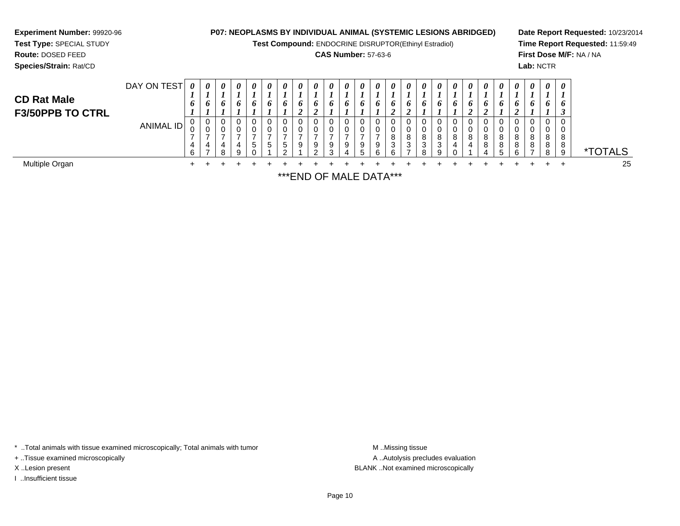**Experiment Number:** 99920-96**Test Type:** SPECIAL STUDY**Route:** DOSED FEED **Species/Strain:** Rat/CD**P07: NEOPLASMS BY INDIVIDUAL ANIMAL (SYSTEMIC LESIONS ABRIDGED)Test Compound:** ENDOCRINE DISRUPTOR(Ethinyl Estradiol)**CAS Number:** 57-63-6**Date Report Requested:** 10/23/2014**Time Report Requested:** 11:59:49**First Dose M/F:** NA / NA**Lab:** NCTRDAY ON TEST**CD Rat Male F3/50PPB TO CTRL**ANIMAL ID*0 1 6 1* 0 0 7 4 6 $\ddot{}$ *0 1 6 1* 0 0 7 4 7 $\pm$ *0 1 6 1* 0 0 7 4 8*0 1 6 1* 0 0 7 4 9*0 1 6 1* 0 0 7 5 0*0 1 6 1* 0 0 7 5 1 $\ddot{}$ *0 1 6 1* 0 0 7 5 2*0 1 6 2* 0 0 7 9 1*0 1 6 2* 0 0 7 9 2 $\ddot{}$ *0 1 6 1* 0 0 7 9 3*0 1 6 1* 0 0 7 9 4 $\ddot{}$ *0 1 6 1* 0 0 7 9 5 $\ddot{}$ *0 1 6 1* 0 0 7 9 6*0 1 6 2* 0 0 8 3 6*0 1 6 2*0<br>0<br>8<br>3<br>7 *0 1 6 1* 0 0 8 3 8*0 1 6 1* 0 0 8 3 9*0 1 6 1* 0 0 8 4 0 $\ddot{}$ *0 1 6 2* 0 0 8 4 1*0 1 6 2* 0 0 8 8 4*0 1 6 1* 0 0 8 8 5*0 1 6 2* 0 0 8 8 6*0 1 6 1* 0 0 8 8 7 $\ddot{}$ *0 1 6 1* 0 0 8 8 8*0 1 6 3* 0 0 88<br>^ 9 \*TOTALS25 Multiple Organn  $+$ <sup>+</sup> <sup>+</sup> <sup>+</sup> <sup>+</sup> <sup>+</sup> <sup>+</sup> <sup>+</sup> <sup>+</sup> <sup>+</sup> <sup>+</sup> <sup>+</sup> <sup>+</sup> <sup>+</sup> <sup>+</sup> <sup>+</sup> <sup>+</sup> <sup>+</sup> <sup>+</sup> <sup>+</sup> <sup>+</sup> <sup>+</sup> <sup>+</sup> <sup>+</sup> <sup>+</sup> <sup>25</sup>

\*\*\*END OF MALE DATA\*\*\*

\* ..Total animals with tissue examined microscopically; Total animals with tumor

+ ..Tissue examined microscopically

I ..Insufficient tissue

A ..Autolysis precludes evaluation X ..Lesion present BLANK ..Not examined microscopically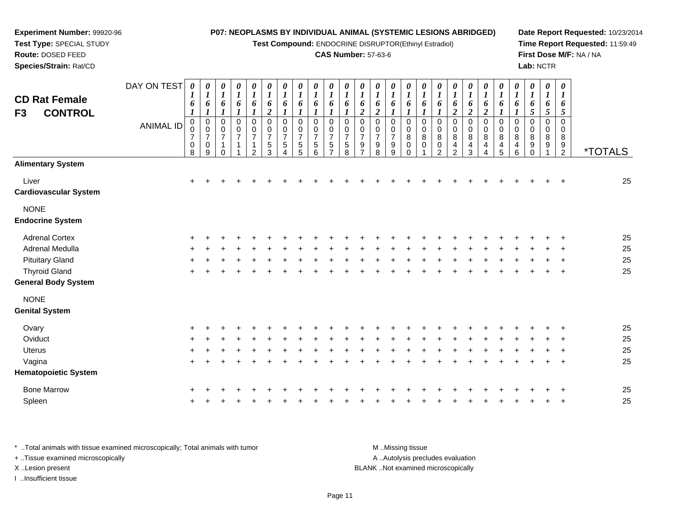**Test Compound:** ENDOCRINE DISRUPTOR(Ethinyl Estradiol)

## **CAS Number:** 57-63-6

**Date Report Requested:** 10/23/2014**Time Report Requested:** 11:59:49**First Dose M/F:** NA / NA**Lab:** NCTR

| <b>CD Rat Female</b><br>F3<br><b>CONTROL</b>       | DAY ON TEST      | 0<br>1<br>6                                              | 0<br>$\boldsymbol{l}$<br>6<br>$\boldsymbol{\eta}$ | 0<br>$\boldsymbol{l}$<br>6                                                    | $\frac{\boldsymbol{0}}{\boldsymbol{1}}$<br>6            | $\frac{\theta}{I}$<br>6                                                      | $\begin{matrix} 0 \\ 1 \end{matrix}$<br>6<br>$\boldsymbol{2}$             | $\frac{\theta}{1}$<br>6                               | $\frac{\theta}{I}$<br>6                        | $\boldsymbol{\theta}$<br>$\boldsymbol{l}$<br>6            | $\boldsymbol{\theta}$<br>$\boldsymbol{l}$<br>6         | 0<br>$\boldsymbol{l}$<br>6                   | 0<br>$\boldsymbol{l}$<br>6<br>$\boldsymbol{2}$ | 0<br>$\boldsymbol{l}$<br>6<br>$\boldsymbol{2}$              | 0<br>$\boldsymbol{l}$<br>6                                  | 0<br>$\boldsymbol{l}$<br>6                           | $\boldsymbol{l}$<br>6                | 0<br>$\boldsymbol{l}$<br>6          | 0<br>$\boldsymbol{l}$<br>6<br>$\overline{c}$     | 0<br>$\boldsymbol{l}$<br>6<br>$\overline{\mathbf{c}}$ | 0<br>$\boldsymbol{l}$<br>6<br>$\overline{c}$ | 0<br>$\boldsymbol{l}$<br>6                          | 0<br>$\boldsymbol{l}$<br>6      | $\boldsymbol{\theta}$<br>$\boldsymbol{l}$<br>6<br>5 | 0<br>$\boldsymbol{l}$<br>6<br>5 | 0<br>6<br>5                            |                       |
|----------------------------------------------------|------------------|----------------------------------------------------------|---------------------------------------------------|-------------------------------------------------------------------------------|---------------------------------------------------------|------------------------------------------------------------------------------|---------------------------------------------------------------------------|-------------------------------------------------------|------------------------------------------------|-----------------------------------------------------------|--------------------------------------------------------|----------------------------------------------|------------------------------------------------|-------------------------------------------------------------|-------------------------------------------------------------|------------------------------------------------------|--------------------------------------|-------------------------------------|--------------------------------------------------|-------------------------------------------------------|----------------------------------------------|-----------------------------------------------------|---------------------------------|-----------------------------------------------------|---------------------------------|----------------------------------------|-----------------------|
|                                                    | <b>ANIMAL ID</b> | $\mathbf 0$<br>0<br>$\boldsymbol{7}$<br>$\mathbf 0$<br>8 | $\mathbf 0$<br>$\frac{0}{7}$<br>$\pmb{0}$<br>9    | $\overline{0}$<br>$\mathbf 0$<br>$\boldsymbol{7}$<br>$\mathbf{1}$<br>$\Omega$ | $\pmb{0}$<br>$\pmb{0}$<br>$\overline{7}$<br>$\mathbf 1$ | $\pmb{0}$<br>$\pmb{0}$<br>$\boldsymbol{7}$<br>$\mathbf{1}$<br>$\overline{2}$ | $\pmb{0}$<br>$\pmb{0}$<br>$\overline{7}$<br>$\mathbf 5$<br>$\overline{3}$ | $\mathbf 0$<br>0<br>$\overline{7}$<br>$\sqrt{5}$<br>4 | $\mathbf 0$<br>0<br>$\boldsymbol{7}$<br>5<br>5 | $\mathbf 0$<br>0<br>$\overline{7}$<br>$\overline{5}$<br>6 | $\Omega$<br>0<br>$\overline{7}$<br>5<br>$\overline{ }$ | 0<br>0<br>$\overline{7}$<br>$\,$ 5 $\,$<br>8 | 0<br>0<br>$\boldsymbol{7}$<br>$\frac{9}{7}$    | $\mathbf 0$<br>0<br>$\overline{7}$<br>$\boldsymbol{9}$<br>8 | $\mathbf 0$<br>0<br>$\overline{7}$<br>$\boldsymbol{9}$<br>9 | $\mathbf 0$<br>0<br>$\bf 8$<br>$\pmb{0}$<br>$\Omega$ | $\mathbf 0$<br>0<br>8<br>$\mathsf 0$ | $\pmb{0}$<br>0<br>$\bf 8$<br>0<br>2 | 0<br>$\pmb{0}$<br>$\bf 8$<br>4<br>$\overline{2}$ | 0<br>$\pmb{0}$<br>$\bf 8$<br>4<br>3                   | $\pmb{0}$<br>0<br>$\bf8$<br>4<br>4           | $\pmb{0}$<br>0<br>8<br>$\overline{\mathbf{4}}$<br>5 | $\mathbf 0$<br>0<br>8<br>4<br>6 | $\Omega$<br>0<br>8<br>9<br>$\Omega$                 | $\Omega$<br>$\Omega$<br>8<br>9  | $\mathbf 0$<br>0<br>8<br>$\frac{9}{2}$ | <i><b>*TOTALS</b></i> |
| <b>Alimentary System</b>                           |                  |                                                          |                                                   |                                                                               |                                                         |                                                                              |                                                                           |                                                       |                                                |                                                           |                                                        |                                              |                                                |                                                             |                                                             |                                                      |                                      |                                     |                                                  |                                                       |                                              |                                                     |                                 |                                                     |                                 |                                        |                       |
| Liver<br><b>Cardiovascular System</b>              |                  | $\ddot{}$                                                | $\ddot{}$                                         |                                                                               |                                                         |                                                                              |                                                                           |                                                       |                                                |                                                           |                                                        |                                              |                                                |                                                             |                                                             |                                                      |                                      |                                     |                                                  |                                                       |                                              |                                                     |                                 |                                                     |                                 | $\pm$                                  | 25                    |
| <b>NONE</b><br><b>Endocrine System</b>             |                  |                                                          |                                                   |                                                                               |                                                         |                                                                              |                                                                           |                                                       |                                                |                                                           |                                                        |                                              |                                                |                                                             |                                                             |                                                      |                                      |                                     |                                                  |                                                       |                                              |                                                     |                                 |                                                     |                                 |                                        |                       |
|                                                    |                  |                                                          |                                                   |                                                                               |                                                         |                                                                              |                                                                           |                                                       |                                                |                                                           |                                                        |                                              |                                                |                                                             |                                                             |                                                      |                                      |                                     |                                                  |                                                       |                                              |                                                     |                                 |                                                     |                                 |                                        |                       |
| <b>Adrenal Cortex</b>                              |                  |                                                          |                                                   |                                                                               |                                                         |                                                                              |                                                                           |                                                       |                                                |                                                           |                                                        |                                              |                                                |                                                             |                                                             |                                                      |                                      |                                     |                                                  |                                                       |                                              |                                                     |                                 |                                                     |                                 |                                        | 25                    |
| Adrenal Medulla                                    |                  |                                                          |                                                   |                                                                               |                                                         |                                                                              |                                                                           |                                                       |                                                |                                                           |                                                        |                                              |                                                |                                                             |                                                             |                                                      |                                      |                                     |                                                  |                                                       |                                              |                                                     |                                 |                                                     |                                 |                                        | 25                    |
| <b>Pituitary Gland</b>                             |                  |                                                          |                                                   |                                                                               |                                                         |                                                                              |                                                                           |                                                       |                                                |                                                           |                                                        |                                              |                                                |                                                             |                                                             |                                                      |                                      |                                     |                                                  |                                                       |                                              |                                                     |                                 |                                                     |                                 |                                        | 25                    |
| <b>Thyroid Gland</b><br><b>General Body System</b> |                  |                                                          |                                                   |                                                                               |                                                         |                                                                              |                                                                           |                                                       |                                                |                                                           |                                                        |                                              |                                                |                                                             |                                                             |                                                      |                                      |                                     |                                                  |                                                       |                                              |                                                     |                                 |                                                     |                                 | $\overline{\phantom{a}}$               | 25                    |
| <b>NONE</b>                                        |                  |                                                          |                                                   |                                                                               |                                                         |                                                                              |                                                                           |                                                       |                                                |                                                           |                                                        |                                              |                                                |                                                             |                                                             |                                                      |                                      |                                     |                                                  |                                                       |                                              |                                                     |                                 |                                                     |                                 |                                        |                       |
| <b>Genital System</b>                              |                  |                                                          |                                                   |                                                                               |                                                         |                                                                              |                                                                           |                                                       |                                                |                                                           |                                                        |                                              |                                                |                                                             |                                                             |                                                      |                                      |                                     |                                                  |                                                       |                                              |                                                     |                                 |                                                     |                                 |                                        |                       |
| Ovary                                              |                  |                                                          |                                                   |                                                                               |                                                         |                                                                              |                                                                           |                                                       |                                                |                                                           |                                                        |                                              |                                                |                                                             |                                                             |                                                      |                                      |                                     |                                                  |                                                       |                                              |                                                     |                                 |                                                     |                                 |                                        | 25                    |
| Oviduct                                            |                  |                                                          |                                                   |                                                                               |                                                         |                                                                              |                                                                           |                                                       |                                                |                                                           |                                                        |                                              |                                                |                                                             |                                                             |                                                      |                                      |                                     |                                                  |                                                       |                                              |                                                     |                                 |                                                     |                                 |                                        | 25                    |
| <b>Uterus</b>                                      |                  |                                                          |                                                   |                                                                               |                                                         |                                                                              |                                                                           |                                                       |                                                |                                                           |                                                        |                                              |                                                |                                                             |                                                             |                                                      |                                      |                                     |                                                  |                                                       |                                              |                                                     |                                 |                                                     |                                 |                                        | 25                    |
| Vagina                                             |                  | ÷.                                                       |                                                   |                                                                               |                                                         |                                                                              |                                                                           |                                                       |                                                |                                                           |                                                        |                                              |                                                |                                                             |                                                             |                                                      |                                      |                                     |                                                  |                                                       |                                              |                                                     |                                 |                                                     |                                 | $\ddot{}$                              | 25                    |
| <b>Hematopoietic System</b>                        |                  |                                                          |                                                   |                                                                               |                                                         |                                                                              |                                                                           |                                                       |                                                |                                                           |                                                        |                                              |                                                |                                                             |                                                             |                                                      |                                      |                                     |                                                  |                                                       |                                              |                                                     |                                 |                                                     |                                 |                                        |                       |
|                                                    |                  |                                                          |                                                   |                                                                               |                                                         |                                                                              |                                                                           |                                                       |                                                |                                                           |                                                        |                                              |                                                |                                                             |                                                             |                                                      |                                      |                                     |                                                  |                                                       |                                              |                                                     |                                 |                                                     |                                 |                                        |                       |

\* ..Total animals with tissue examined microscopically; Total animals with tumor **M** ...Missing tissue M ...Missing tissue A ..Autolysis precludes evaluation + ..Tissue examined microscopically X ..Lesion present BLANK ..Not examined microscopicallyI ..Insufficient tissue

**Experiment Number:** 99920-96**Test Type:** SPECIAL STUDY**Route:** DOSED FEED**Species/Strain:** Rat/CD

Bone Marrow

n  $+$ 

Spleen

<sup>+</sup> <sup>+</sup> <sup>+</sup> <sup>+</sup> <sup>+</sup> <sup>+</sup> <sup>+</sup> <sup>+</sup> <sup>+</sup> <sup>+</sup> <sup>+</sup> <sup>+</sup> <sup>+</sup> <sup>+</sup> <sup>+</sup> <sup>+</sup> <sup>+</sup> <sup>+</sup> <sup>+</sup> <sup>+</sup> <sup>+</sup> <sup>+</sup> <sup>+</sup> <sup>+</sup> <sup>+</sup> <sup>25</sup>

<sup>+</sup> <sup>+</sup> <sup>+</sup> <sup>+</sup> <sup>+</sup> <sup>+</sup> <sup>+</sup> <sup>+</sup> <sup>+</sup> <sup>+</sup> <sup>+</sup> <sup>+</sup> <sup>+</sup> <sup>+</sup> <sup>+</sup> <sup>+</sup> <sup>+</sup> <sup>+</sup> <sup>+</sup> <sup>+</sup> <sup>+</sup> <sup>+</sup> <sup>+</sup> <sup>+</sup> <sup>25</sup>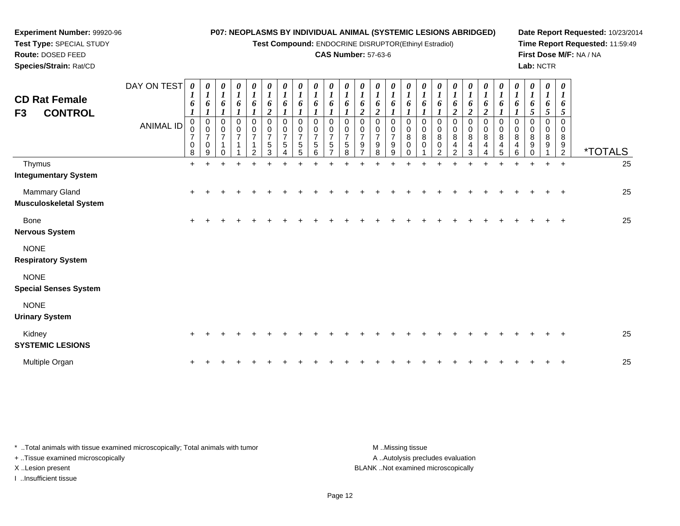**Test Compound:** ENDOCRINE DISRUPTOR(Ethinyl Estradiol)

## **CAS Number:** 57-63-6

**Date Report Requested:** 10/23/2014**Time Report Requested:** 11:59:49**First Dose M/F:** NA / NA**Lab:** NCTR

| <b>CD Rat Female</b><br>F3<br><b>CONTROL</b> | DAY ON TEST<br><b>ANIMAL ID</b> | 0<br>6<br>1<br>0              | $\boldsymbol{\theta}$<br>$\boldsymbol{l}$<br>6<br>0 | 0<br>$\boldsymbol{l}$<br>6<br>0 | 0<br>$\boldsymbol{l}$<br>6<br>0 | 0<br>$\boldsymbol{l}$<br>6<br>0      | 0<br>$\boldsymbol{l}$<br>6<br>$\boldsymbol{2}$<br>$\mathbf 0$ | 0<br>$\boldsymbol{l}$<br>6<br>0 | 0<br>$\boldsymbol{I}$<br>6<br>0 | 0<br>$\boldsymbol{l}$<br>6<br>0 | 0<br>6<br>$\Omega$ | 0<br>6<br>0                 | 0<br>6<br>$\boldsymbol{2}$<br>$\Omega$ | 0<br>6<br>2<br>$\Omega$       | 0<br>$\boldsymbol{l}$<br>6<br>$\Omega$  | 0<br>6<br>$\Omega$    | 0<br>6<br>$\Omega$          | $\boldsymbol{\theta}$<br>6<br>0 | 0<br>6<br>$\boldsymbol{2}$<br>0            | $\boldsymbol{\theta}$<br>6<br>$\boldsymbol{2}$<br>0 | 0<br>6<br>$\boldsymbol{2}$<br>0 | 0<br>6<br>0      | 0<br>$\boldsymbol{l}$<br>6<br>$\Omega$ | 0<br>$\boldsymbol{l}$<br>6<br>5<br>$\Omega$ | 0<br>$\boldsymbol{l}$<br>6<br>5<br>0 | $\boldsymbol{\theta}$<br>$\boldsymbol{\mathit{1}}$<br>6<br>5<br>0 |                       |    |
|----------------------------------------------|---------------------------------|-------------------------------|-----------------------------------------------------|---------------------------------|---------------------------------|--------------------------------------|---------------------------------------------------------------|---------------------------------|---------------------------------|---------------------------------|--------------------|-----------------------------|----------------------------------------|-------------------------------|-----------------------------------------|-----------------------|-----------------------------|---------------------------------|--------------------------------------------|-----------------------------------------------------|---------------------------------|------------------|----------------------------------------|---------------------------------------------|--------------------------------------|-------------------------------------------------------------------|-----------------------|----|
|                                              |                                 | 0<br>$\overline{7}$<br>0<br>8 | 0<br>$\overline{7}$<br>0<br>9                       | 0<br>$\overline{7}$             | 0<br>$\overline{7}$             | 0<br>$\overline{7}$<br>$\mathcal{P}$ | $\mathbf 0$<br>$\overline{7}$<br>5<br>3                       | 0<br>$\overline{7}$<br>5        | 0<br>$\overline{7}$<br>5<br>5   | 0<br>$\overline{7}$<br>5<br>6   | 0<br>5             | 0<br>7<br>5<br>$\mathsf{R}$ | 0<br>$\overline{7}$<br>9               | 0<br>$\overline{7}$<br>9<br>8 | 0<br>$\overline{\mathcal{I}}$<br>9<br>9 | 0<br>8<br>$\mathbf 0$ | 0<br>$\bf 8$<br>$\mathbf 0$ | 0<br>8<br>0<br>$\mathcal{P}$    | 0<br>8<br>$\overline{4}$<br>$\mathfrak{p}$ | 0<br>8<br>4<br>3                                    | 0<br>8<br>4                     | 0<br>8<br>4<br>5 | 0<br>8<br>4<br>6                       | $\mathbf 0$<br>8<br>9                       | 0<br>8<br>9                          | 0<br>8<br>9<br>$\overline{2}$                                     | <i><b>*TOTALS</b></i> |    |
| Thymus<br><b>Integumentary System</b>        |                                 | $\ddot{}$                     |                                                     |                                 | $\ddot{}$                       |                                      |                                                               |                                 |                                 |                                 |                    |                             |                                        |                               |                                         |                       |                             |                                 |                                            |                                                     |                                 | ÷                | $\ddot{}$                              | $\ddot{}$                                   | $+$                                  | $\ddot{}$                                                         |                       | 25 |
| Mammary Gland<br>Musculoskeletal System      |                                 | $\ddot{}$                     |                                                     |                                 |                                 |                                      |                                                               |                                 |                                 |                                 |                    |                             |                                        |                               |                                         |                       |                             |                                 |                                            |                                                     |                                 |                  |                                        |                                             |                                      |                                                                   |                       | 25 |
| <b>Bone</b><br><b>Nervous System</b>         |                                 | +                             |                                                     |                                 |                                 |                                      |                                                               |                                 |                                 |                                 |                    |                             |                                        |                               |                                         |                       |                             |                                 |                                            |                                                     |                                 |                  |                                        |                                             |                                      |                                                                   |                       | 25 |
| <b>NONE</b><br><b>Respiratory System</b>     |                                 |                               |                                                     |                                 |                                 |                                      |                                                               |                                 |                                 |                                 |                    |                             |                                        |                               |                                         |                       |                             |                                 |                                            |                                                     |                                 |                  |                                        |                                             |                                      |                                                                   |                       |    |
| <b>NONE</b><br><b>Special Senses System</b>  |                                 |                               |                                                     |                                 |                                 |                                      |                                                               |                                 |                                 |                                 |                    |                             |                                        |                               |                                         |                       |                             |                                 |                                            |                                                     |                                 |                  |                                        |                                             |                                      |                                                                   |                       |    |
| <b>NONE</b><br><b>Urinary System</b>         |                                 |                               |                                                     |                                 |                                 |                                      |                                                               |                                 |                                 |                                 |                    |                             |                                        |                               |                                         |                       |                             |                                 |                                            |                                                     |                                 |                  |                                        |                                             |                                      |                                                                   |                       |    |
| Kidney<br><b>SYSTEMIC LESIONS</b>            |                                 | $\ddot{}$                     |                                                     |                                 |                                 |                                      |                                                               |                                 |                                 |                                 |                    |                             |                                        |                               |                                         |                       |                             |                                 |                                            |                                                     |                                 |                  |                                        |                                             |                                      |                                                                   |                       | 25 |
| Multiple Organ                               |                                 | +                             |                                                     |                                 |                                 |                                      |                                                               |                                 |                                 |                                 |                    |                             |                                        |                               |                                         |                       |                             |                                 |                                            |                                                     |                                 |                  |                                        |                                             |                                      |                                                                   |                       | 25 |

\* ..Total animals with tissue examined microscopically; Total animals with tumor **M** . Missing tissue M ..Missing tissue A ..Autolysis precludes evaluation + ..Tissue examined microscopically X ..Lesion present BLANK ..Not examined microscopicallyI ..Insufficient tissue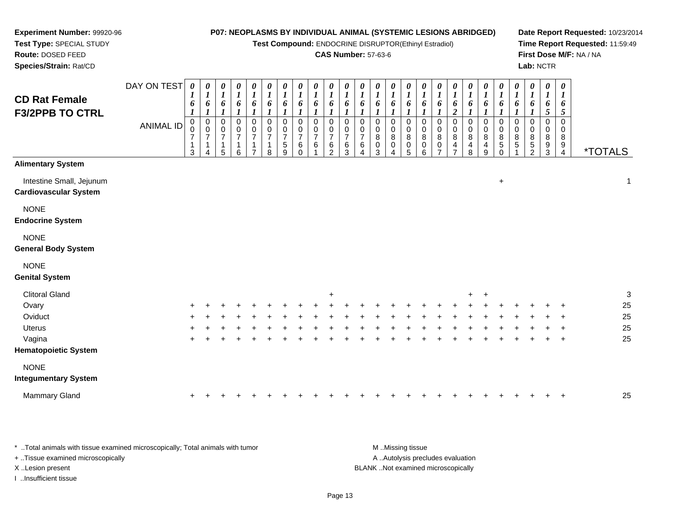**Test Compound:** ENDOCRINE DISRUPTOR(Ethinyl Estradiol)

#### **CAS Number:** 57-63-6

**Date Report Requested:** 10/23/2014**Time Report Requested:** 11:59:49**First Dose M/F:** NA / NA**Lab:** NCTR

| <b>CD Rat Female</b><br><b>F3/2PPB TO CTRL</b>           | DAY ON TEST<br><b>ANIMAL ID</b> | 0<br>$\boldsymbol{l}$<br>6<br>$\boldsymbol{l}$<br>$\mathbf 0$<br>0<br>$\overline{7}$<br>1<br>3 | $\pmb{\theta}$<br>$\boldsymbol{l}$<br>6<br>$\boldsymbol{l}$<br>$\mathbf 0$<br>$\mathbf 0$<br>$\overline{7}$<br>4 | $\pmb{\theta}$<br>$\boldsymbol{l}$<br>6<br>$\boldsymbol{l}$<br>$\pmb{0}$<br>$\mathbf 0$<br>$\overline{7}$<br>$\mathbf 1$<br>5 | $\frac{\theta}{I}$<br>6<br>$\boldsymbol{l}$<br>$\mathbf 0$<br>$\frac{0}{7}$<br>$\mathbf 1$<br>6 | $\boldsymbol{\theta}$<br>$\boldsymbol{l}$<br>$\boldsymbol{6}$<br>$\boldsymbol{l}$<br>$\pmb{0}$<br>$\frac{0}{7}$<br>$\mathbf{1}$ | $\boldsymbol{\theta}$<br>$\boldsymbol{l}$<br>6<br>$\boldsymbol{l}$<br>0<br>$\frac{0}{7}$<br>1<br>8 | 0<br>$\boldsymbol{l}$<br>$\pmb{6}$<br>$\boldsymbol{l}$<br>$\mathbf 0$<br>$\mathbf 0$<br>$\overline{7}$<br>$\mathbf 5$<br>9 | $\pmb{\theta}$<br>$\boldsymbol{l}$<br>6<br>$\boldsymbol{l}$<br>$\Omega$<br>0<br>$\overline{7}$<br>6<br>$\Omega$ | $\pmb{\theta}$<br>$\boldsymbol{l}$<br>6<br>$\boldsymbol{l}$<br>0<br>0<br>$\overline{7}$<br>6 | $\boldsymbol{\theta}$<br>$\boldsymbol{l}$<br>6<br>$\boldsymbol{l}$<br>$\mathbf 0$<br>$\mathbf 0$<br>$\overline{7}$<br>$\,6$<br>$\mathcal{D}$ | $\pmb{\theta}$<br>$\boldsymbol{l}$<br>6<br>$\mathsf{O}\xspace$<br>0<br>$\overline{7}$<br>6<br>3 | $\pmb{\theta}$<br>$\boldsymbol{l}$<br>6<br>$\boldsymbol{l}$<br>0<br>0<br>$\overline{7}$<br>6 | $\pmb{\theta}$<br>$\boldsymbol{l}$<br>6<br>$\boldsymbol{l}$<br>0<br>$\pmb{0}$<br>8<br>$\pmb{0}$<br>3 | $\boldsymbol{\theta}$<br>$\boldsymbol{l}$<br>6<br>$\pmb{0}$<br>$\mathbf 0$<br>8<br>$\mathbf 0$ | 0<br>$\boldsymbol{l}$<br>6<br>$\mathbf 0$<br>0<br>8<br>0<br>5 | $\pmb{\theta}$<br>$\boldsymbol{l}$<br>6<br>$\boldsymbol{l}$<br>$\mathbf 0$<br>0<br>8<br>$\mathbf 0$<br>6 | 0<br>$\boldsymbol{l}$<br>6<br>$\boldsymbol{l}$<br>$\pmb{0}$<br>0<br>8<br>0 | $\pmb{\theta}$<br>$\boldsymbol{l}$<br>6<br>$\boldsymbol{2}$<br>$\pmb{0}$<br>0<br>8<br>4 | $\pmb{\theta}$<br>$\boldsymbol{l}$<br>6<br>$\boldsymbol{l}$<br>$\boldsymbol{0}$<br>$\mathbf 0$<br>8<br>4<br>8 | $\pmb{\theta}$<br>$\boldsymbol{l}$<br>6<br>1<br>$\pmb{0}$<br>$\pmb{0}$<br>8<br>$\overline{4}$<br>$\boldsymbol{9}$ | $\pmb{\theta}$<br>$\boldsymbol{l}$<br>6<br>$\boldsymbol{l}$<br>$\pmb{0}$<br>$\mathbf 0$<br>8<br>5<br>$\Omega$ | $\pmb{\theta}$<br>$\boldsymbol{l}$<br>6<br>$\boldsymbol{l}$<br>$\pmb{0}$<br>0<br>8<br>$\mathbf 5$ | $\boldsymbol{\theta}$<br>$\boldsymbol{l}$<br>6<br>$\boldsymbol{l}$<br>$\mathbf 0$<br>0<br>8<br>$\,$ 5 $\,$<br>$\overline{2}$ | 0<br>$\boldsymbol{l}$<br>6<br>$\mathfrak{H}$<br>0<br>0<br>8<br>9<br>3 | $\pmb{\theta}$<br>$\boldsymbol{l}$<br>6<br>$\mathfrak{s}$<br>$\mathbf 0$<br>$\mathbf{0}$<br>8<br>9<br>$\overline{4}$ | <i><b>*TOTALS</b></i> |
|----------------------------------------------------------|---------------------------------|------------------------------------------------------------------------------------------------|------------------------------------------------------------------------------------------------------------------|-------------------------------------------------------------------------------------------------------------------------------|-------------------------------------------------------------------------------------------------|---------------------------------------------------------------------------------------------------------------------------------|----------------------------------------------------------------------------------------------------|----------------------------------------------------------------------------------------------------------------------------|-----------------------------------------------------------------------------------------------------------------|----------------------------------------------------------------------------------------------|----------------------------------------------------------------------------------------------------------------------------------------------|-------------------------------------------------------------------------------------------------|----------------------------------------------------------------------------------------------|------------------------------------------------------------------------------------------------------|------------------------------------------------------------------------------------------------|---------------------------------------------------------------|----------------------------------------------------------------------------------------------------------|----------------------------------------------------------------------------|-----------------------------------------------------------------------------------------|---------------------------------------------------------------------------------------------------------------|-------------------------------------------------------------------------------------------------------------------|---------------------------------------------------------------------------------------------------------------|---------------------------------------------------------------------------------------------------|------------------------------------------------------------------------------------------------------------------------------|-----------------------------------------------------------------------|----------------------------------------------------------------------------------------------------------------------|-----------------------|
| <b>Alimentary System</b>                                 |                                 |                                                                                                |                                                                                                                  |                                                                                                                               |                                                                                                 |                                                                                                                                 |                                                                                                    |                                                                                                                            |                                                                                                                 |                                                                                              |                                                                                                                                              |                                                                                                 |                                                                                              |                                                                                                      |                                                                                                |                                                               |                                                                                                          |                                                                            |                                                                                         |                                                                                                               |                                                                                                                   |                                                                                                               |                                                                                                   |                                                                                                                              |                                                                       |                                                                                                                      |                       |
| Intestine Small, Jejunum<br><b>Cardiovascular System</b> |                                 |                                                                                                |                                                                                                                  |                                                                                                                               |                                                                                                 |                                                                                                                                 |                                                                                                    |                                                                                                                            |                                                                                                                 |                                                                                              |                                                                                                                                              |                                                                                                 |                                                                                              |                                                                                                      |                                                                                                |                                                               |                                                                                                          |                                                                            |                                                                                         |                                                                                                               |                                                                                                                   | $\ddot{}$                                                                                                     |                                                                                                   |                                                                                                                              |                                                                       |                                                                                                                      | $\mathbf 1$           |
| <b>NONE</b><br><b>Endocrine System</b>                   |                                 |                                                                                                |                                                                                                                  |                                                                                                                               |                                                                                                 |                                                                                                                                 |                                                                                                    |                                                                                                                            |                                                                                                                 |                                                                                              |                                                                                                                                              |                                                                                                 |                                                                                              |                                                                                                      |                                                                                                |                                                               |                                                                                                          |                                                                            |                                                                                         |                                                                                                               |                                                                                                                   |                                                                                                               |                                                                                                   |                                                                                                                              |                                                                       |                                                                                                                      |                       |
| <b>NONE</b><br><b>General Body System</b>                |                                 |                                                                                                |                                                                                                                  |                                                                                                                               |                                                                                                 |                                                                                                                                 |                                                                                                    |                                                                                                                            |                                                                                                                 |                                                                                              |                                                                                                                                              |                                                                                                 |                                                                                              |                                                                                                      |                                                                                                |                                                               |                                                                                                          |                                                                            |                                                                                         |                                                                                                               |                                                                                                                   |                                                                                                               |                                                                                                   |                                                                                                                              |                                                                       |                                                                                                                      |                       |
| <b>NONE</b><br><b>Genital System</b>                     |                                 |                                                                                                |                                                                                                                  |                                                                                                                               |                                                                                                 |                                                                                                                                 |                                                                                                    |                                                                                                                            |                                                                                                                 |                                                                                              |                                                                                                                                              |                                                                                                 |                                                                                              |                                                                                                      |                                                                                                |                                                               |                                                                                                          |                                                                            |                                                                                         |                                                                                                               |                                                                                                                   |                                                                                                               |                                                                                                   |                                                                                                                              |                                                                       |                                                                                                                      |                       |
| <b>Clitoral Gland</b>                                    |                                 |                                                                                                |                                                                                                                  |                                                                                                                               |                                                                                                 |                                                                                                                                 |                                                                                                    |                                                                                                                            |                                                                                                                 |                                                                                              | $\ddot{}$                                                                                                                                    |                                                                                                 |                                                                                              |                                                                                                      |                                                                                                |                                                               |                                                                                                          |                                                                            |                                                                                         | $+$                                                                                                           | $+$                                                                                                               |                                                                                                               |                                                                                                   |                                                                                                                              |                                                                       |                                                                                                                      | 3                     |
| Ovary                                                    |                                 |                                                                                                |                                                                                                                  |                                                                                                                               |                                                                                                 |                                                                                                                                 |                                                                                                    |                                                                                                                            |                                                                                                                 |                                                                                              |                                                                                                                                              |                                                                                                 |                                                                                              |                                                                                                      |                                                                                                |                                                               |                                                                                                          |                                                                            |                                                                                         |                                                                                                               |                                                                                                                   |                                                                                                               |                                                                                                   |                                                                                                                              |                                                                       |                                                                                                                      | 25                    |
| Oviduct                                                  |                                 |                                                                                                |                                                                                                                  |                                                                                                                               |                                                                                                 |                                                                                                                                 |                                                                                                    |                                                                                                                            |                                                                                                                 |                                                                                              |                                                                                                                                              |                                                                                                 |                                                                                              |                                                                                                      |                                                                                                |                                                               |                                                                                                          |                                                                            |                                                                                         |                                                                                                               |                                                                                                                   |                                                                                                               |                                                                                                   |                                                                                                                              |                                                                       |                                                                                                                      | 25                    |
| <b>Uterus</b>                                            |                                 |                                                                                                |                                                                                                                  |                                                                                                                               |                                                                                                 |                                                                                                                                 |                                                                                                    |                                                                                                                            |                                                                                                                 |                                                                                              |                                                                                                                                              |                                                                                                 |                                                                                              |                                                                                                      |                                                                                                |                                                               |                                                                                                          |                                                                            |                                                                                         |                                                                                                               |                                                                                                                   |                                                                                                               |                                                                                                   |                                                                                                                              |                                                                       |                                                                                                                      | 25                    |
| Vagina                                                   |                                 |                                                                                                |                                                                                                                  |                                                                                                                               |                                                                                                 |                                                                                                                                 |                                                                                                    |                                                                                                                            |                                                                                                                 |                                                                                              |                                                                                                                                              |                                                                                                 |                                                                                              |                                                                                                      |                                                                                                |                                                               |                                                                                                          |                                                                            |                                                                                         |                                                                                                               |                                                                                                                   |                                                                                                               |                                                                                                   |                                                                                                                              |                                                                       | $\div$                                                                                                               | 25                    |
| <b>Hematopoietic System</b>                              |                                 |                                                                                                |                                                                                                                  |                                                                                                                               |                                                                                                 |                                                                                                                                 |                                                                                                    |                                                                                                                            |                                                                                                                 |                                                                                              |                                                                                                                                              |                                                                                                 |                                                                                              |                                                                                                      |                                                                                                |                                                               |                                                                                                          |                                                                            |                                                                                         |                                                                                                               |                                                                                                                   |                                                                                                               |                                                                                                   |                                                                                                                              |                                                                       |                                                                                                                      |                       |
| <b>NONE</b>                                              |                                 |                                                                                                |                                                                                                                  |                                                                                                                               |                                                                                                 |                                                                                                                                 |                                                                                                    |                                                                                                                            |                                                                                                                 |                                                                                              |                                                                                                                                              |                                                                                                 |                                                                                              |                                                                                                      |                                                                                                |                                                               |                                                                                                          |                                                                            |                                                                                         |                                                                                                               |                                                                                                                   |                                                                                                               |                                                                                                   |                                                                                                                              |                                                                       |                                                                                                                      |                       |
| <b>Integumentary System</b>                              |                                 |                                                                                                |                                                                                                                  |                                                                                                                               |                                                                                                 |                                                                                                                                 |                                                                                                    |                                                                                                                            |                                                                                                                 |                                                                                              |                                                                                                                                              |                                                                                                 |                                                                                              |                                                                                                      |                                                                                                |                                                               |                                                                                                          |                                                                            |                                                                                         |                                                                                                               |                                                                                                                   |                                                                                                               |                                                                                                   |                                                                                                                              |                                                                       |                                                                                                                      |                       |
| <b>Mammary Gland</b>                                     |                                 | $\pm$                                                                                          |                                                                                                                  |                                                                                                                               |                                                                                                 |                                                                                                                                 |                                                                                                    |                                                                                                                            |                                                                                                                 |                                                                                              |                                                                                                                                              |                                                                                                 |                                                                                              |                                                                                                      |                                                                                                |                                                               |                                                                                                          |                                                                            |                                                                                         |                                                                                                               |                                                                                                                   |                                                                                                               |                                                                                                   |                                                                                                                              |                                                                       |                                                                                                                      | 25                    |

\* ..Total animals with tissue examined microscopically; Total animals with tumor **M** . Missing tissue M ..Missing tissue A ..Autolysis precludes evaluation + ..Tissue examined microscopically X ..Lesion present BLANK ..Not examined microscopicallyI ..Insufficient tissue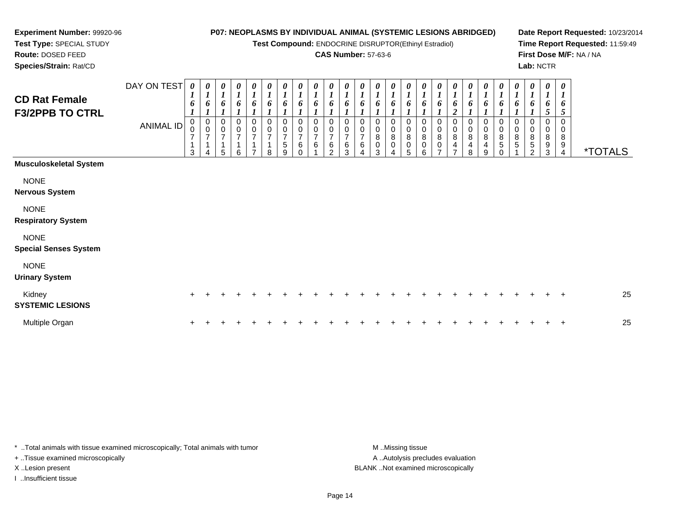**Test Compound:** ENDOCRINE DISRUPTOR(Ethinyl Estradiol)

#### **CAS Number:** 57-63-6

**Date Report Requested:** 10/23/2014**Time Report Requested:** 11:59:49**First Dose M/F:** NA / NA**Lab:** NCTR

\*TOTALS

*0 1*

0<br>0<br>8<br>5<br>0

*6 1*

| Species/Strain: Rat/CD                         |             |                            |                            |                    |                            |               |              |                  |                         |                    |                            |                  |                  |                       |                                 |                              |                       |                            |                            |
|------------------------------------------------|-------------|----------------------------|----------------------------|--------------------|----------------------------|---------------|--------------|------------------|-------------------------|--------------------|----------------------------|------------------|------------------|-----------------------|---------------------------------|------------------------------|-----------------------|----------------------------|----------------------------|
| <b>CD Rat Female</b><br><b>F3/2PPB TO CTRL</b> | DAY ON TEST | $\boldsymbol{\theta}$<br>n | $\boldsymbol{\theta}$<br>6 | $\theta$<br>Đ      | $\boldsymbol{\theta}$<br>6 | $\theta$<br>6 | 0<br>п.<br>6 | 0<br>n           | 0<br>n                  | $\theta$<br>h      | $\boldsymbol{\theta}$<br>Đ | 0<br>6           |                  | 0<br>h                | $\boldsymbol{\theta}$<br>o      | 0<br>o                       | 0<br>h                | $\boldsymbol{\theta}$<br>n | $\boldsymbol{\theta}$<br>6 |
|                                                | ANIMAL ID   | 0<br>3                     | $\mathbf 0$<br>0<br>4      | $\Omega$<br>0<br>5 | 0<br>0<br>6                | $\Omega$<br>0 | 0<br>0<br>8  | 0<br>0<br>5<br>9 | $\Omega$<br>0<br>6<br>0 | $\Omega$<br>0<br>6 | 0<br>0<br>6<br>າ           | 0<br>0<br>6<br>3 | 0<br>0<br>6<br>4 | 0<br>0<br>8<br>0<br>3 | 0<br>0<br>8<br>$\mathbf 0$<br>4 | 0<br>0<br>8<br>$\Omega$<br>5 | 0<br>0<br>8<br>0<br>6 | 0<br>0<br>8<br>$\Omega$    | $\Omega$<br>0<br>8<br>4    |
| <b>Musculoskeletal System</b>                  |             |                            |                            |                    |                            |               |              |                  |                         |                    |                            |                  |                  |                       |                                 |                              |                       |                            |                            |
| <b>NONE</b>                                    |             |                            |                            |                    |                            |               |              |                  |                         |                    |                            |                  |                  |                       |                                 |                              |                       |                            |                            |

**Nervous System**

NONE

**Respiratory System**

#### NONE

**Special Senses System**

**Experiment Number:** 99920-96**Test Type:** SPECIAL STUDY**Route:** DOSED FEED

#### NONE

**Urinary System**

| Kidnev<br><b>SYSTEMIC LESIONS</b> |  |  |  |  |  |  |  |  |  |  |  |  |  | 25 |
|-----------------------------------|--|--|--|--|--|--|--|--|--|--|--|--|--|----|
| Multiple Organ                    |  |  |  |  |  |  |  |  |  |  |  |  |  | 25 |

\* ..Total animals with tissue examined microscopically; Total animals with tumor **M** ..Missing tissue M ..Missing tissue + ..Tissue examined microscopically

I ..Insufficient tissue

A .. Autolysis precludes evaluation X ..Lesion present BLANK ..Not examined microscopically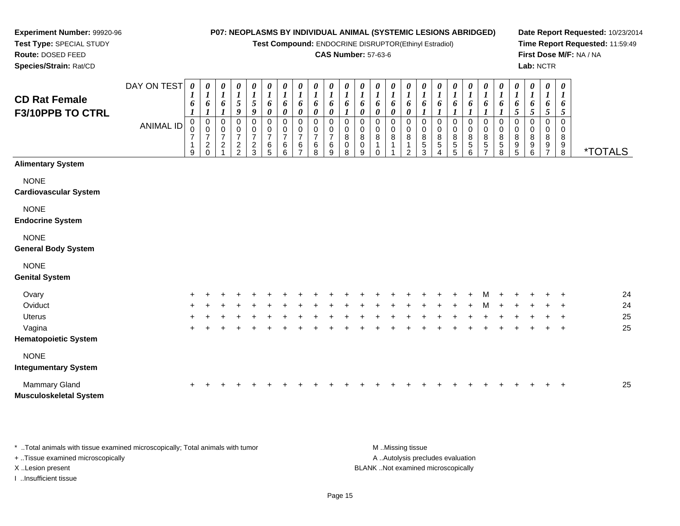DAY ON TEST*0000000000000000000000000*

**Test Compound:** ENDOCRINE DISRUPTOR(Ethinyl Estradiol)

#### **CAS Number:** 57-63-6

**Date Report Requested:** 10/23/2014**Time Report Requested:** 11:59:49**First Dose M/F:** NA / NA**Lab:** NCTR

| <b>CD Rat Female</b><br>F3/10PPB TO CTRL    |           | $\mathbf{I}$<br>6                       | $\overline{I}$<br>6                                   | $\overline{I}$<br>6                          | 5<br>9                                                     | $\overline{ }$<br>5<br>9                          | $\bf{l}$<br>6<br>$\pmb{\theta}$            | $\overline{I}$<br>6<br>$\boldsymbol{\theta}$   | 6<br>$\boldsymbol{\theta}$                              | $\mathbf{I}$<br>6<br>0                       | $\overline{I}$<br>6<br>$\boldsymbol{\theta}$ | $\overline{I}$<br>6          | 6<br>0                              | 6<br>0                        | 6<br>0      | 6<br>0                                       | 6                                                       | 6                     | 6                                     | 6                               | 6                                                   | 6                                          | $\bf{l}$<br>$\frac{6}{5}$                                          | $\overline{I}$<br>6<br>5                                    | $\overline{1}$<br>6<br>5           | $\mathbf{I}$<br>6<br>5              |                       |
|---------------------------------------------|-----------|-----------------------------------------|-------------------------------------------------------|----------------------------------------------|------------------------------------------------------------|---------------------------------------------------|--------------------------------------------|------------------------------------------------|---------------------------------------------------------|----------------------------------------------|----------------------------------------------|------------------------------|-------------------------------------|-------------------------------|-------------|----------------------------------------------|---------------------------------------------------------|-----------------------|---------------------------------------|---------------------------------|-----------------------------------------------------|--------------------------------------------|--------------------------------------------------------------------|-------------------------------------------------------------|------------------------------------|-------------------------------------|-----------------------|
|                                             | ANIMAL ID | $\mathbf 0$<br>0<br>$\overline{7}$<br>9 | 0<br>$\mathbf 0$<br>$\boldsymbol{7}$<br>$\frac{2}{0}$ | 0<br>0<br>$\overline{7}$<br>$\boldsymbol{2}$ | 0<br>$\pmb{0}$<br>$\overline{\mathbf{7}}$<br>$\frac{2}{2}$ | 0<br>$\pmb{0}$<br>$\overline{7}$<br>$\frac{2}{3}$ | 0<br>$\pmb{0}$<br>$\overline{7}$<br>$^6_5$ | 0<br>$\pmb{0}$<br>$\overline{7}$<br>$\,6$<br>6 | 0<br>$\pmb{0}$<br>$\overline{7}$<br>6<br>$\overline{ }$ | $\mathbf 0$<br>0<br>$\overline{7}$<br>6<br>8 | 0<br>0<br>$\overline{7}$<br>6<br>9           | $\Omega$<br>0<br>8<br>0<br>8 | 0<br>0<br>$\bf 8$<br>$\pmb{0}$<br>9 | $\Omega$<br>0<br>$\bf 8$<br>0 | 0<br>0<br>8 | 0<br>$\mathbf 0$<br>8<br>1<br>$\mathfrak{p}$ | $\mathbf 0$<br>$\pmb{0}$<br>$\bf 8$<br>$\mathbf 5$<br>3 | 0<br>0<br>8<br>5<br>4 | 0<br>0<br>$\bf 8$<br>$\mathbf 5$<br>5 | 0<br>0<br>8<br>$\,$ 5 $\,$<br>6 | $\pmb{0}$<br>$_{\rm 8}^{\rm 0}$<br>$\mathbf 5$<br>⇁ | 0<br>$\pmb{0}$<br>$\bf 8$<br>$\frac{5}{8}$ | 0<br>$\pmb{0}$<br>$\bf 8$<br>$\begin{array}{c} 9 \\ 5 \end{array}$ | $\mathbf 0$<br>$\pmb{0}$<br>$\, 8$<br>$\boldsymbol{9}$<br>6 | 0<br>0<br>$\bf 8$<br>$\frac{9}{7}$ | $\Omega$<br>0<br>8<br>$\frac{9}{8}$ | <i><b>*TOTALS</b></i> |
| <b>Alimentary System</b>                    |           |                                         |                                                       |                                              |                                                            |                                                   |                                            |                                                |                                                         |                                              |                                              |                              |                                     |                               |             |                                              |                                                         |                       |                                       |                                 |                                                     |                                            |                                                                    |                                                             |                                    |                                     |                       |
| <b>NONE</b><br><b>Cardiovascular System</b> |           |                                         |                                                       |                                              |                                                            |                                                   |                                            |                                                |                                                         |                                              |                                              |                              |                                     |                               |             |                                              |                                                         |                       |                                       |                                 |                                                     |                                            |                                                                    |                                                             |                                    |                                     |                       |
| <b>NONE</b><br><b>Endocrine System</b>      |           |                                         |                                                       |                                              |                                                            |                                                   |                                            |                                                |                                                         |                                              |                                              |                              |                                     |                               |             |                                              |                                                         |                       |                                       |                                 |                                                     |                                            |                                                                    |                                                             |                                    |                                     |                       |
| <b>NONE</b><br><b>General Body System</b>   |           |                                         |                                                       |                                              |                                                            |                                                   |                                            |                                                |                                                         |                                              |                                              |                              |                                     |                               |             |                                              |                                                         |                       |                                       |                                 |                                                     |                                            |                                                                    |                                                             |                                    |                                     |                       |
| <b>NONE</b><br><b>Genital System</b>        |           |                                         |                                                       |                                              |                                                            |                                                   |                                            |                                                |                                                         |                                              |                                              |                              |                                     |                               |             |                                              |                                                         |                       |                                       |                                 |                                                     |                                            |                                                                    |                                                             |                                    |                                     |                       |
| Ovary                                       |           |                                         |                                                       |                                              |                                                            |                                                   |                                            |                                                |                                                         |                                              |                                              |                              |                                     |                               |             |                                              |                                                         |                       |                                       |                                 |                                                     |                                            |                                                                    |                                                             |                                    |                                     | 24                    |
| Oviduct                                     |           |                                         |                                                       |                                              |                                                            |                                                   |                                            |                                                |                                                         |                                              |                                              |                              |                                     |                               |             |                                              |                                                         |                       |                                       |                                 |                                                     |                                            |                                                                    |                                                             |                                    |                                     | 24                    |
| Uterus                                      |           |                                         |                                                       |                                              |                                                            |                                                   |                                            |                                                |                                                         |                                              |                                              |                              |                                     |                               |             |                                              |                                                         |                       |                                       |                                 |                                                     |                                            |                                                                    |                                                             |                                    |                                     | 25                    |
| Vagina                                      |           | $\ddot{}$                               |                                                       |                                              |                                                            |                                                   |                                            |                                                |                                                         |                                              |                                              |                              |                                     |                               |             |                                              |                                                         |                       |                                       |                                 |                                                     |                                            |                                                                    |                                                             |                                    | $+$                                 | 25                    |
| <b>Hematopoietic System</b>                 |           |                                         |                                                       |                                              |                                                            |                                                   |                                            |                                                |                                                         |                                              |                                              |                              |                                     |                               |             |                                              |                                                         |                       |                                       |                                 |                                                     |                                            |                                                                    |                                                             |                                    |                                     |                       |
| <b>NONE</b>                                 |           |                                         |                                                       |                                              |                                                            |                                                   |                                            |                                                |                                                         |                                              |                                              |                              |                                     |                               |             |                                              |                                                         |                       |                                       |                                 |                                                     |                                            |                                                                    |                                                             |                                    |                                     |                       |
| <b>Integumentary System</b>                 |           |                                         |                                                       |                                              |                                                            |                                                   |                                            |                                                |                                                         |                                              |                                              |                              |                                     |                               |             |                                              |                                                         |                       |                                       |                                 |                                                     |                                            |                                                                    |                                                             |                                    |                                     |                       |

| Mammary Gland                 |  |  |  |  |  |  |  |  |  |  |  |  |  | $\sim$<br>25 |
|-------------------------------|--|--|--|--|--|--|--|--|--|--|--|--|--|--------------|
| <b>Musculoskeletal System</b> |  |  |  |  |  |  |  |  |  |  |  |  |  |              |

\* ..Total animals with tissue examined microscopically; Total animals with tumor **M** ...Missing tissue M ...Missing tissue A .. Autolysis precludes evaluation + ..Tissue examined microscopically X ..Lesion present BLANK ..Not examined microscopicallyI ..Insufficient tissue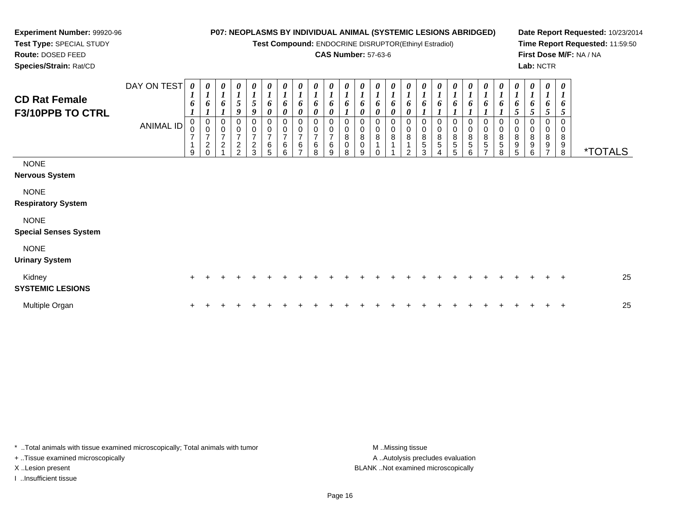**Test Compound:** ENDOCRINE DISRUPTOR(Ethinyl Estradiol)

## **CAS Number:** 57-63-6

**Date Report Requested:** 10/23/2014**Time Report Requested:** 11:59:50**First Dose M/F:** NA / NA**Lab:** NCTR

**Experiment Number:** 99920-96**Test Type:** SPECIAL STUDY**Route:** DOSED FEED**Species/Strain:** Rat/CD

| <b>CD Rat Female</b><br>F3/10PPB TO CTRL    | DAY ON TEST<br><b>ANIMAL ID</b> | $\boldsymbol{\theta}$<br>1<br>6<br>$\overline{7}$ | $\boldsymbol{\mathit{U}}$<br>$\boldsymbol{l}$<br>o<br>$\begin{matrix} 0 \\ 0 \end{matrix}$<br>$\overline{7}$<br>$\overline{c}$ | $\frac{\boldsymbol{\theta}}{\boldsymbol{I}}$<br>6<br>0<br>$\frac{0}{7}$<br>$\boldsymbol{2}$ | $\begin{array}{c} 0 \\ 1 \\ 5 \end{array}$<br>9<br>0<br>$\frac{0}{7}$<br>$\frac{2}{2}$ | 0<br>$\boldsymbol{l}$<br>5<br>9<br>0<br>$\frac{0}{7}$<br>$\frac{2}{3}$ | 0<br>$\boldsymbol{l}$<br>6<br>$\boldsymbol{\theta}$<br>0<br>$\begin{array}{c} 0 \\ 7 \end{array}$<br>$\,6\,$ | $\frac{\boldsymbol{\theta}}{\boldsymbol{I}}$<br>6<br>0<br>0<br>$\frac{0}{7}$<br>6 | $\boldsymbol{\theta}$<br>6<br>0<br>7<br>6 | $\boldsymbol{\theta}$<br>$\boldsymbol{l}$<br>6<br>0<br>6 | $\boldsymbol{\theta}$<br>$\boldsymbol{l}$<br>$\boldsymbol{\theta}$<br>6 | 0<br>$\boldsymbol{l}$<br>6<br>0<br>0<br>$\bf 8$<br>$\mathbf 0$ | $\boldsymbol{\theta}$<br>$\boldsymbol{l}$<br>6<br>0<br>0<br>8<br>0 | 0<br>$\boldsymbol{l}$<br>6<br>0<br>0<br>8 | $\boldsymbol{l}$<br>6<br>$\boldsymbol{\theta}$<br>$\mathbf 0$<br>8 | 0<br>$\boldsymbol{l}$<br>6<br>0<br>0<br>0<br>$\bf 8$ | 0<br>$\boldsymbol{l}$<br>6<br>0<br>0<br>8<br>5 | 0<br>$\boldsymbol{l}$<br>6<br>0<br>0<br>$\bf 8$<br>5 | $\boldsymbol{l}$<br>6<br>0<br>8<br>5 | $\boldsymbol{\theta}$<br>$\boldsymbol{l}$<br>6<br>0<br>$\pmb{0}$<br>$\bf 8$<br>5 | $\boldsymbol{\theta}$<br>$\boldsymbol{l}$<br>6<br>0<br>0<br>8<br>5 | $\boldsymbol{\theta}$<br>1<br>6<br>0<br>0<br>$\,8\,$<br>5 | $\boldsymbol{l}$<br>6<br>5<br>0<br>$\bf 8$<br>9 | 6<br>5<br>0<br>8<br>9 | 0<br>6<br>0<br>8<br>9 | $\boldsymbol{\theta}$<br>1<br>6<br>5<br>0<br>8<br>9 |                       |
|---------------------------------------------|---------------------------------|---------------------------------------------------|--------------------------------------------------------------------------------------------------------------------------------|---------------------------------------------------------------------------------------------|----------------------------------------------------------------------------------------|------------------------------------------------------------------------|--------------------------------------------------------------------------------------------------------------|-----------------------------------------------------------------------------------|-------------------------------------------|----------------------------------------------------------|-------------------------------------------------------------------------|----------------------------------------------------------------|--------------------------------------------------------------------|-------------------------------------------|--------------------------------------------------------------------|------------------------------------------------------|------------------------------------------------|------------------------------------------------------|--------------------------------------|----------------------------------------------------------------------------------|--------------------------------------------------------------------|-----------------------------------------------------------|-------------------------------------------------|-----------------------|-----------------------|-----------------------------------------------------|-----------------------|
| <b>NONE</b><br>Nervous System               |                                 | 9                                                 |                                                                                                                                |                                                                                             |                                                                                        |                                                                        | 5                                                                                                            | 6                                                                                 |                                           | 8                                                        | 9                                                                       | 8                                                              | 9                                                                  | 0                                         |                                                                    | $\overline{2}$                                       | 3                                              |                                                      | 5                                    | 6                                                                                |                                                                    | 8                                                         | 5                                               | 6                     |                       | 8                                                   | <i><b>*TOTALS</b></i> |
| <b>NONE</b><br><b>Respiratory System</b>    |                                 |                                                   |                                                                                                                                |                                                                                             |                                                                                        |                                                                        |                                                                                                              |                                                                                   |                                           |                                                          |                                                                         |                                                                |                                                                    |                                           |                                                                    |                                                      |                                                |                                                      |                                      |                                                                                  |                                                                    |                                                           |                                                 |                       |                       |                                                     |                       |
| <b>NONE</b><br><b>Special Senses System</b> |                                 |                                                   |                                                                                                                                |                                                                                             |                                                                                        |                                                                        |                                                                                                              |                                                                                   |                                           |                                                          |                                                                         |                                                                |                                                                    |                                           |                                                                    |                                                      |                                                |                                                      |                                      |                                                                                  |                                                                    |                                                           |                                                 |                       |                       |                                                     |                       |
| <b>NONE</b><br><b>Urinary System</b>        |                                 |                                                   |                                                                                                                                |                                                                                             |                                                                                        |                                                                        |                                                                                                              |                                                                                   |                                           |                                                          |                                                                         |                                                                |                                                                    |                                           |                                                                    |                                                      |                                                |                                                      |                                      |                                                                                  |                                                                    |                                                           |                                                 |                       |                       |                                                     |                       |
| Kidney<br><b>SYSTEMIC LESIONS</b>           |                                 | $\pm$                                             |                                                                                                                                |                                                                                             |                                                                                        |                                                                        |                                                                                                              |                                                                                   |                                           |                                                          |                                                                         |                                                                |                                                                    |                                           |                                                                    |                                                      |                                                |                                                      |                                      |                                                                                  |                                                                    |                                                           |                                                 |                       |                       | $\pm$                                               | 25                    |
| Multiple Organ                              |                                 | $\ddot{}$                                         |                                                                                                                                |                                                                                             |                                                                                        |                                                                        |                                                                                                              |                                                                                   |                                           |                                                          |                                                                         |                                                                |                                                                    |                                           |                                                                    |                                                      |                                                |                                                      |                                      |                                                                                  |                                                                    |                                                           |                                                 |                       |                       | $\overline{+}$                                      | 25                    |

\* ..Total animals with tissue examined microscopically; Total animals with tumor **M** . Missing tissue M ..Missing tissue + ..Tissue examined microscopically X ..Lesion present BLANK ..Not examined microscopically

I ..Insufficient tissue

A ..Autolysis precludes evaluation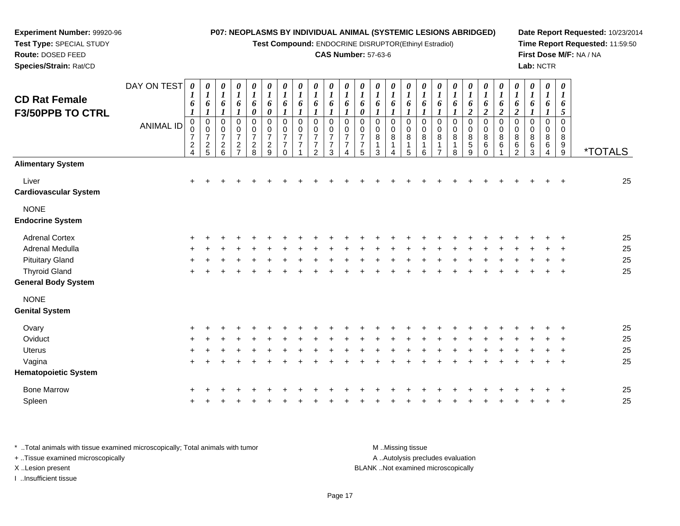**Test Compound:** ENDOCRINE DISRUPTOR(Ethinyl Estradiol)

#### **CAS Number:** 57-63-6

**Date Report Requested:** 10/23/2014**Time Report Requested:** 11:59:50**First Dose M/F:** NA / NA**Lab:** NCTR

| <b>CD Rat Female</b>                   | DAY ON TEST      | 0<br>1                                    | $\boldsymbol{\theta}$<br>1                | 0<br>$\bm{l}$                                                | 0<br>$\boldsymbol{l}$                                        | 0<br>$\boldsymbol{l}$                     | 0<br>$\boldsymbol{l}$                                                        | 0<br>$\bm{l}$                                          | 0<br>$\bm{l}$            | 0<br>$\bm{l}$                              | 0<br>$\boldsymbol{l}$   | 0<br>1 | 0<br>1                             | 0                                 | 0<br>1           | 0                                      | 0                               | $\boldsymbol{\theta}$ | 0<br>1           | $\boldsymbol{\theta}$<br>1 | 0<br>1                       | 0<br>1              | $\boldsymbol{\theta}$<br>$\bm{l}$                   | $\boldsymbol{\theta}$<br>$\bm{l}$      | 0<br>$\boldsymbol{l}$           | $\boldsymbol{\theta}$<br>1   |                       |
|----------------------------------------|------------------|-------------------------------------------|-------------------------------------------|--------------------------------------------------------------|--------------------------------------------------------------|-------------------------------------------|------------------------------------------------------------------------------|--------------------------------------------------------|--------------------------|--------------------------------------------|-------------------------|--------|------------------------------------|-----------------------------------|------------------|----------------------------------------|---------------------------------|-----------------------|------------------|----------------------------|------------------------------|---------------------|-----------------------------------------------------|----------------------------------------|---------------------------------|------------------------------|-----------------------|
| <b>F3/50PPB TO CTRL</b>                |                  | 6<br>1                                    | 6                                         | 6                                                            | 6                                                            | 6<br>0                                    | 6<br>0                                                                       | 6<br>$\boldsymbol{l}$                                  | 6                        | 6<br>1                                     | 6<br>1                  | 6<br>1 | 6<br>0                             | 6                                 | 6                | 6                                      | 6                               | 6                     | 6                | 6<br>$\boldsymbol{2}$      | 6<br>$\boldsymbol{2}$        | 6<br>$\overline{2}$ | 6<br>$\boldsymbol{2}$                               | 6                                      | 6                               | 6<br>5                       |                       |
|                                        | <b>ANIMAL ID</b> | 0<br>0<br>$\overline{7}$<br>$\frac{2}{4}$ | 0<br>0<br>$\overline{7}$<br>$\frac{2}{5}$ | 0<br>0<br>$\overline{7}$<br>$\overline{c}$<br>$6\phantom{a}$ | 0<br>0<br>$\overline{7}$<br>$\overline{c}$<br>$\overline{7}$ | 0<br>0<br>$\overline{7}$<br>$\frac{2}{8}$ | $\mathbf 0$<br>$\mathbf 0$<br>$\overline{7}$<br>$\overline{\mathbf{c}}$<br>9 | 0<br>0<br>$\overline{7}$<br>$\overline{7}$<br>$\Omega$ | 0<br>0<br>$\overline{7}$ | 0<br>0<br>$\overline{7}$<br>$\overline{2}$ | $\Omega$<br>0<br>7<br>3 | 0<br>0 | 0<br>0<br>$\overline{7}$<br>7<br>5 | $\Omega$<br>$\mathbf 0$<br>8<br>3 | 0<br>0<br>8<br>1 | $\Omega$<br>$\mathbf 0$<br>8<br>1<br>5 | 0<br>0<br>8<br>$\mathbf 1$<br>6 | 0<br>0<br>8<br>-1     | 0<br>0<br>8<br>8 | 0<br>0<br>8<br>5<br>9      | 0<br>0<br>8<br>6<br>$\Omega$ | 0<br>0<br>8<br>6    | $\Omega$<br>$\mathbf 0$<br>8<br>6<br>$\overline{2}$ | $\Omega$<br>$\mathbf 0$<br>8<br>6<br>3 | 0<br>$\mathbf 0$<br>8<br>6<br>4 | $\Omega$<br>0<br>8<br>9<br>9 | <i><b>*TOTALS</b></i> |
| <b>Alimentary System</b>               |                  |                                           |                                           |                                                              |                                                              |                                           |                                                                              |                                                        |                          |                                            |                         |        |                                    |                                   |                  |                                        |                                 |                       |                  |                            |                              |                     |                                                     |                                        |                                 |                              |                       |
| Liver<br><b>Cardiovascular System</b>  |                  | +                                         |                                           |                                                              |                                                              |                                           |                                                                              |                                                        |                          |                                            |                         |        |                                    |                                   |                  |                                        |                                 |                       |                  |                            |                              |                     |                                                     |                                        |                                 |                              | 25                    |
| <b>NONE</b><br><b>Endocrine System</b> |                  |                                           |                                           |                                                              |                                                              |                                           |                                                                              |                                                        |                          |                                            |                         |        |                                    |                                   |                  |                                        |                                 |                       |                  |                            |                              |                     |                                                     |                                        |                                 |                              |                       |
| <b>Adrenal Cortex</b>                  |                  | $\pm$                                     |                                           |                                                              |                                                              |                                           |                                                                              |                                                        |                          |                                            |                         |        |                                    |                                   |                  |                                        |                                 |                       |                  |                            |                              |                     |                                                     |                                        |                                 |                              | 25                    |
| Adrenal Medulla                        |                  |                                           |                                           |                                                              |                                                              |                                           |                                                                              |                                                        |                          |                                            |                         |        |                                    |                                   |                  |                                        |                                 |                       |                  |                            |                              |                     |                                                     |                                        |                                 |                              | 25                    |
| <b>Pituitary Gland</b>                 |                  |                                           |                                           |                                                              |                                                              |                                           |                                                                              |                                                        |                          |                                            |                         |        |                                    |                                   |                  |                                        |                                 |                       |                  |                            |                              |                     |                                                     |                                        |                                 |                              | 25                    |
| <b>Thyroid Gland</b>                   |                  | ÷.                                        |                                           |                                                              |                                                              |                                           |                                                                              |                                                        |                          |                                            |                         |        |                                    |                                   |                  |                                        |                                 |                       |                  |                            |                              |                     |                                                     |                                        |                                 | $\mathbf +$                  | 25                    |
| <b>General Body System</b>             |                  |                                           |                                           |                                                              |                                                              |                                           |                                                                              |                                                        |                          |                                            |                         |        |                                    |                                   |                  |                                        |                                 |                       |                  |                            |                              |                     |                                                     |                                        |                                 |                              |                       |
| <b>NONE</b>                            |                  |                                           |                                           |                                                              |                                                              |                                           |                                                                              |                                                        |                          |                                            |                         |        |                                    |                                   |                  |                                        |                                 |                       |                  |                            |                              |                     |                                                     |                                        |                                 |                              |                       |
| <b>Genital System</b>                  |                  |                                           |                                           |                                                              |                                                              |                                           |                                                                              |                                                        |                          |                                            |                         |        |                                    |                                   |                  |                                        |                                 |                       |                  |                            |                              |                     |                                                     |                                        |                                 |                              |                       |
| Ovary                                  |                  |                                           |                                           |                                                              |                                                              |                                           |                                                                              |                                                        |                          |                                            |                         |        |                                    |                                   |                  |                                        |                                 |                       |                  |                            |                              |                     |                                                     |                                        |                                 |                              | 25                    |
| Oviduct                                |                  |                                           |                                           |                                                              |                                                              |                                           |                                                                              |                                                        |                          |                                            |                         |        |                                    |                                   |                  |                                        |                                 |                       |                  |                            |                              |                     |                                                     |                                        |                                 |                              | 25                    |
| Uterus                                 |                  |                                           |                                           |                                                              |                                                              |                                           |                                                                              |                                                        |                          |                                            |                         |        |                                    |                                   |                  |                                        |                                 |                       |                  |                            |                              |                     |                                                     |                                        |                                 |                              | 25                    |
| Vagina                                 |                  |                                           |                                           |                                                              |                                                              |                                           |                                                                              |                                                        |                          |                                            |                         |        |                                    |                                   |                  |                                        |                                 |                       |                  |                            |                              |                     |                                                     |                                        |                                 |                              | 25                    |
| <b>Hematopoietic System</b>            |                  |                                           |                                           |                                                              |                                                              |                                           |                                                                              |                                                        |                          |                                            |                         |        |                                    |                                   |                  |                                        |                                 |                       |                  |                            |                              |                     |                                                     |                                        |                                 |                              |                       |
| <b>Bone Marrow</b>                     |                  |                                           | $+$ $+$ $+$                               |                                                              |                                                              |                                           |                                                                              | $\pm$                                                  |                          |                                            |                         |        |                                    | $\pm$                             |                  | $+$                                    | $+$                             | $+$                   | $+$              |                            | $+$ $+$                      | $+$                 | $+$                                                 | $+$                                    | $+$                             | $+$                          | 25                    |

\* ..Total animals with tissue examined microscopically; Total animals with tumor **M** ...Missing tissue M ...Missing tissue A .. Autolysis precludes evaluation + ..Tissue examined microscopically X ..Lesion present BLANK ..Not examined microscopicallyI ..Insufficient tissue

**Experiment Number:** 99920-96**Test Type:** SPECIAL STUDY**Route:** DOSED FEED**Species/Strain:** Rat/CD

Spleen

n  $+$ 

<sup>+</sup> <sup>+</sup> <sup>+</sup> <sup>+</sup> <sup>+</sup> <sup>+</sup> <sup>+</sup> <sup>+</sup> <sup>+</sup> <sup>+</sup> <sup>+</sup> <sup>+</sup> <sup>+</sup> <sup>+</sup> <sup>+</sup> <sup>+</sup> <sup>+</sup> <sup>+</sup> <sup>+</sup> <sup>+</sup> <sup>+</sup> <sup>+</sup> <sup>+</sup> <sup>+</sup> <sup>+</sup> <sup>25</sup>

<sup>+</sup> <sup>+</sup> <sup>+</sup> <sup>+</sup> <sup>+</sup> <sup>+</sup> <sup>+</sup> <sup>+</sup> <sup>+</sup> <sup>+</sup> <sup>+</sup> <sup>+</sup> <sup>+</sup> <sup>+</sup> <sup>+</sup> <sup>+</sup> <sup>+</sup> <sup>+</sup> <sup>+</sup> <sup>+</sup> <sup>+</sup> <sup>+</sup> <sup>+</sup> <sup>+</sup> <sup>25</sup>